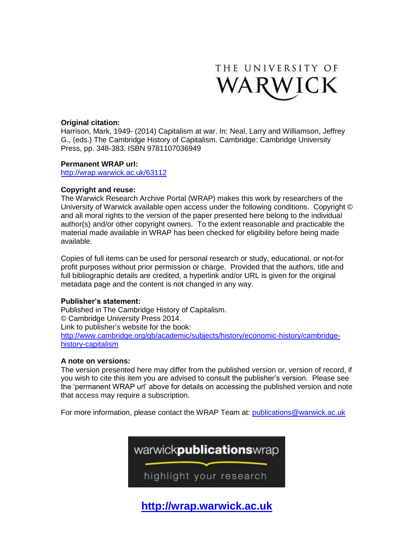

## **Original citation:**

Harrison, Mark, 1949- (2014) Capitalism at war. In: Neal, Larry and Williamson, Jeffrey G., (eds.) The Cambridge History of Capitalism. Cambridge: Cambridge University Press, pp. 348-383. ISBN 9781107036949

### **Permanent WRAP url:**

<http://wrap.warwick.ac.uk/63112>

# **Copyright and reuse:**

The Warwick Research Archive Portal (WRAP) makes this work by researchers of the University of Warwick available open access under the following conditions. Copyright © and all moral rights to the version of the paper presented here belong to the individual author(s) and/or other copyright owners. To the extent reasonable and practicable the material made available in WRAP has been checked for eligibility before being made available.

Copies of full items can be used for personal research or study, educational, or not-for profit purposes without prior permission or charge. Provided that the authors, title and full bibliographic details are credited, a hyperlink and/or URL is given for the original metadata page and the content is not changed in any way.

# **Publisher's statement:**

Published in The Cambridge History of Capitalism. © Cambridge University Press 2014. Link to publisher's website for the book: [http://www.cambridge.org/gb/academic/subjects/history/economic-history/cambridge](http://www.cambridge.org/gb/academic/subjects/history/economic-history/cambridge-history-capitalism)[history-capitalism](http://www.cambridge.org/gb/academic/subjects/history/economic-history/cambridge-history-capitalism)

## **A note on versions:**

The version presented here may differ from the published version or, version of record, if you wish to cite this item you are advised to consult the publisher's version. Please see the 'permanent WRAP url' above for details on accessing the published version and note that access may require a subscription.

For more information, please contact the WRAP Team at: [publications@warwick.ac.uk](mailto:publications@warwick.ac.uk)



**[http://wrap.warwick.ac.uk](http://wrap.warwick.ac.uk/)**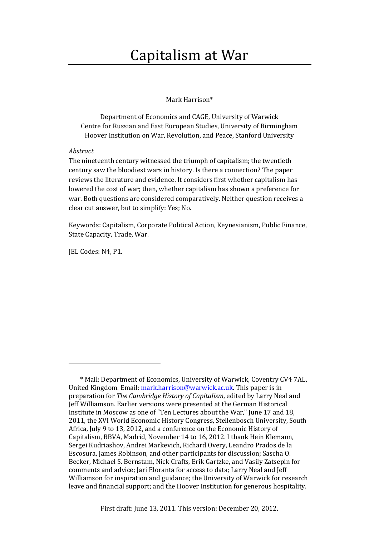# Capitalism at War

## Mark Harrison\*

Department of Economics and CAGE, University of Warwick Centre for Russian and East European Studies, University of Birmingham Hoover Institution on War, Revolution, and Peace, Stanford University

#### *Abstract*

The nineteenth century witnessed the triumph of capitalism; the twentieth century saw the bloodiest wars in history. Is there a connection? The paper reviews the literature and evidence. It considers first whether capitalism has lowered the cost of war; then, whether capitalism has shown a preference for war. Both questions are considered comparatively. Neither question receives a clear cut answer, but to simplify: Yes; No.

Keywords: Capitalism, Corporate Political Action, Keynesianism, Public Finance, State Capacity, Trade, War.

JEL Codes: N4, P1.

<sup>\*</sup> Mail: Department of Economics, University of Warwick, Coventry CV4 7AL, United Kingdom. Email: mark.harrison@warwick.ac.uk. This paper is in preparation for *The Cambridge History of Capitalism*, edited by Larry Neal and Jeff Williamson. Earlier versions were presented at the German Historical Institute in Moscow as one of "Ten Lectures about the War," June 17 and 18, 2011, the XVI World Economic History Congress, Stellenbosch University, South Africa, July 9 to 13, 2012, and a conference on the Economic History of Capitalism, BBVA, Madrid, November 14 to 16, 2012. I thank Hein Klemann, Sergei Kudriashov, Andrei Markevich, Richard Overy, Leandro Prados de la Escosura, James Robinson, and other participants for discussion; Sascha O. Becker, Michael S. Bernstam, Nick Crafts, Erik Gartzke, and Vasily Zatsepin for comments and advice; Jari Eloranta for access to data; Larry Neal and Jeff Williamson for inspiration and guidance; the University of Warwick for research leave and financial support; and the Hoover Institution for generous hospitality.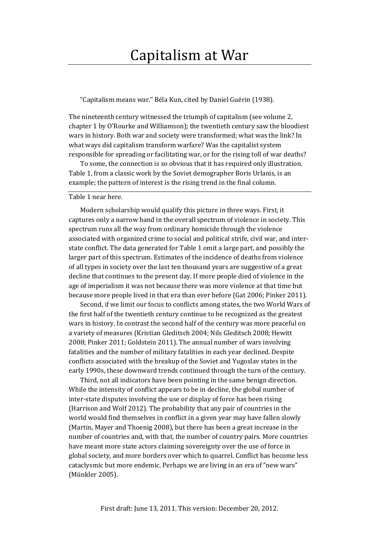# Capitalism at War

"Capitalism means war." Béla Kun, cited by Daniel Guérin (1938).

The nineteenth century witnessed the triumph of capitalism (see volume 2, chapter 1 by O'Rourke and Williamson); the twentieth century saw the bloodiest wars in history. Both war and society were transformed; what was the link? In what ways did capitalism transform warfare? Was the capitalist system responsible for spreading or facilitating war, or for the rising toll of war deaths?

To some, the connection is so obvious that it has required only illustration. Table 1, from a classic work by the Soviet demographer Boris Urlanis, is an example; the pattern of interest is the rising trend in the final column.

#### Table 1 near here.

Modern scholarship would qualify this picture in three ways. First, it captures only a narrow band in the overall spectrum of violence in society. This spectrum runs all the way from ordinary homicide through the violence associated with organized crime to social and political strife, civil war, and interstate conflict. The data generated for Table 1 omit a large part, and possibly the larger part of this spectrum. Estimates of the incidence of deaths from violence of all types in society over the last ten thousand years are suggestive of a great decline that continues to the present day. If more people died of violence in the age of imperialism it was not because there was more violence at that time but because more people lived in that era than ever before (Gat 2006; Pinker 2011).

Second, if we limit our focus to conflicts among states, the two World Wars of the first half of the twentieth century continue to be recognized as the greatest wars in history. In contrast the second half of the century was more peaceful on a variety of measures (Kristian Gleditsch 2004; Nils Gleditsch 2008; Hewitt 2008; Pinker 2011; Goldstein 2011). The annual number of wars involving fatalities and the number of military fatalities in each year declined. Despite conflicts associated with the breakup of the Soviet and Yugoslav states in the early 1990s, these downward trends continued through the turn of the century.

Third, not all indicators have been pointing in the same benign direction. While the intensity of conflict appears to be in decline, the global number of inter-state disputes involving the use or display of force has been rising (Harrison and Wolf 2012). The probability that any pair of countries in the world would find themselves in conflict in a given year may have fallen slowly (Martin, Mayer and Thoenig 2008), but there has been a great increase in the number of countries and, with that, the number of country pairs. More countries have meant more state actors claiming sovereignty over the use of force in global society, and more borders over which to quarrel. Conflict has become less cataclysmic but more endemic. Perhaps we are living in an era of "new wars" (Münkler 2005).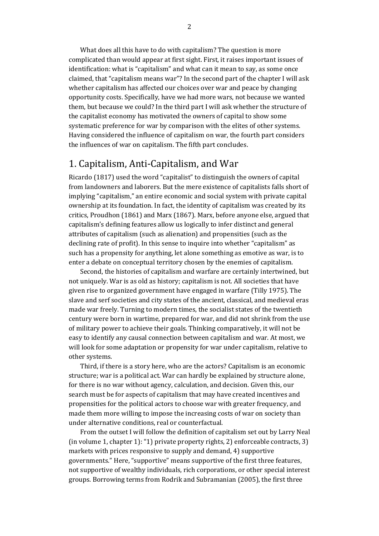What does all this have to do with capitalism? The question is more complicated than would appear at first sight. First, it raises important issues of identification: what is "capitalism" and what can it mean to say, as some once claimed, that "capitalism means war"? In the second part of the chapter I will ask whether capitalism has affected our choices over war and peace by changing opportunity costs. Specifically, have we had more wars, not because we wanted them, but because we could? In the third part I will ask whether the structure of the capitalist economy has motivated the owners of capital to show some systematic preference for war by comparison with the elites of other systems. Having considered the influence of capitalism on war, the fourth part considers the influences of war on capitalism. The fifth part concludes.

# 1. Capitalism, Anti-Capitalism, and War

Ricardo (1817) used the word "capitalist" to distinguish the owners of capital from landowners and laborers. But the mere existence of capitalists falls short of implying "capitalism," an entire economic and social system with private capital ownership at its foundation. In fact, the identity of capitalism was created by its critics, Proudhon (1861) and Marx (1867). Marx, before anyone else, argued that capitalism's defining features allow us logically to infer distinct and general attributes of capitalism (such as alienation) and propensities (such as the declining rate of profit). In this sense to inquire into whether "capitalism" as such has a propensity for anything, let alone something as emotive as war, is to enter a debate on conceptual territory chosen by the enemies of capitalism.

Second, the histories of capitalism and warfare are certainly intertwined, but not uniquely. War is as old as history; capitalism is not. All societies that have given rise to organized government have engaged in warfare (Tilly 1975). The slave and serf societies and city states of the ancient, classical, and medieval eras made war freely. Turning to modern times, the socialist states of the twentieth century were born in wartime, prepared for war, and did not shrink from the use of military power to achieve their goals. Thinking comparatively, it will not be easy to identify any causal connection between capitalism and war. At most, we will look for some adaptation or propensity for war under capitalism, relative to other systems.

Third, if there is a story here, who are the actors? Capitalism is an economic structure; war is a political act. War can hardly be explained by structure alone, for there is no war without agency, calculation, and decision. Given this, our search must be for aspects of capitalism that may have created incentives and propensities for the political actors to choose war with greater frequency, and made them more willing to impose the increasing costs of war on society than under alternative conditions, real or counterfactual.

From the outset I will follow the definition of capitalism set out by Larry Neal (in volume 1, chapter 1): "1) private property rights, 2) enforceable contracts, 3) markets with prices responsive to supply and demand, 4) supportive governments." Here, "supportive" means supportive of the first three features, not supportive of wealthy individuals, rich corporations, or other special interest groups. Borrowing terms from Rodrik and Subramanian (2005), the first three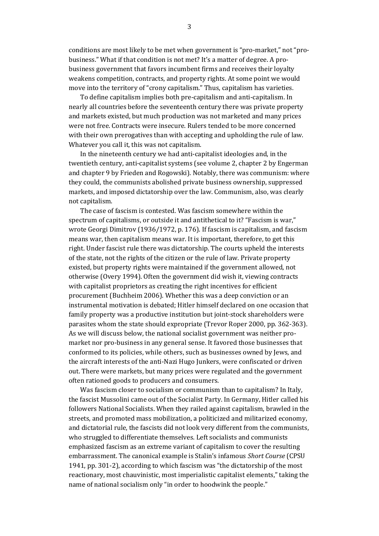conditions are most likely to be met when government is "pro-market," not "probusiness." What if that condition is not met? It's a matter of degree. A probusiness government that favors incumbent firms and receives their loyalty weakens competition, contracts, and property rights. At some point we would move into the territory of "crony capitalism." Thus, capitalism has varieties.

To define capitalism implies both pre-capitalism and anti-capitalism. In nearly all countries before the seventeenth century there was private property and markets existed, but much production was not marketed and many prices were not free. Contracts were insecure. Rulers tended to be more concerned with their own prerogatives than with accepting and upholding the rule of law. Whatever you call it, this was not capitalism.

In the nineteenth century we had anti-capitalist ideologies and, in the twentieth century, anti-capitalist systems (see volume 2, chapter 2 by Engerman and chapter 9 by Frieden and Rogowski). Notably, there was communism: where they could, the communists abolished private business ownership, suppressed markets, and imposed dictatorship over the law. Communism, also, was clearly not capitalism.

The case of fascism is contested. Was fascism somewhere within the spectrum of capitalisms, or outside it and antithetical to it? "Fascism is war," wrote Georgi Dimitrov (1936/1972, p. 176). If fascism is capitalism, and fascism means war, then capitalism means war. It is important, therefore, to get this right. Under fascist rule there was dictatorship. The courts upheld the interests of the state, not the rights of the citizen or the rule of law. Private property existed, but property rights were maintained if the government allowed, not otherwise (Overy 1994). Often the government did wish it, viewing contracts with capitalist proprietors as creating the right incentives for efficient procurement (Buchheim 2006). Whether this was a deep conviction or an instrumental motivation is debated; Hitler himself declared on one occasion that family property was a productive institution but joint-stock shareholders were parasites whom the state should expropriate (Trevor Roper 2000, pp. 362-363). As we will discuss below, the national socialist government was neither promarket nor pro-business in any general sense. It favored those businesses that conformed to its policies, while others, such as businesses owned by Jews, and the aircraft interests of the anti-Nazi Hugo Junkers, were confiscated or driven out. There were markets, but many prices were regulated and the government often rationed goods to producers and consumers.

Was fascism closer to socialism or communism than to capitalism? In Italy, the fascist Mussolini came out of the Socialist Party. In Germany, Hitler called his followers National Socialists. When they railed against capitalism, brawled in the streets, and promoted mass mobilization, a politicized and militarized economy, and dictatorial rule, the fascists did not look very different from the communists, who struggled to differentiate themselves. Left socialists and communists emphasized fascism as an extreme variant of capitalism to cover the resulting embarrassment. The canonical example is Stalin's infamous *Short Course* (CPSU 1941, pp. 301-2), according to which fascism was "the dictatorship of the most reactionary, most chauvinistic, most imperialistic capitalist elements," taking the name of national socialism only "in order to hoodwink the people."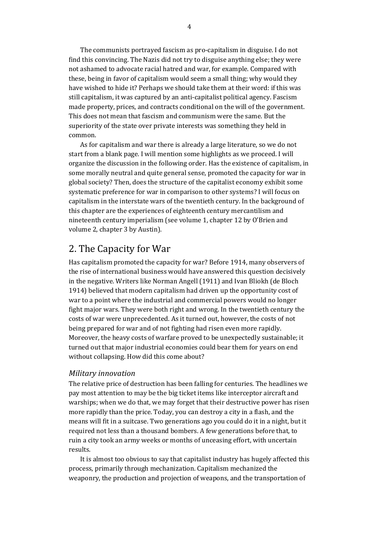The communists portrayed fascism as pro-capitalism in disguise. I do not find this convincing. The Nazis did not try to disguise anything else; they were not ashamed to advocate racial hatred and war, for example. Compared with these, being in favor of capitalism would seem a small thing; why would they have wished to hide it? Perhaps we should take them at their word: if this was still capitalism, it was captured by an anti-capitalist political agency. Fascism made property, prices, and contracts conditional on the will of the government. This does not mean that fascism and communism were the same. But the superiority of the state over private interests was something they held in common.

As for capitalism and war there is already a large literature, so we do not start from a blank page. I will mention some highlights as we proceed. I will organize the discussion in the following order. Has the existence of capitalism, in some morally neutral and quite general sense, promoted the capacity for war in global society? Then, does the structure of the capitalist economy exhibit some systematic preference for war in comparison to other systems? I will focus on capitalism in the interstate wars of the twentieth century. In the background of this chapter are the experiences of eighteenth century mercantilism and nineteenth century imperialism (see volume 1, chapter 12 by O'Brien and volume 2, chapter 3 by Austin).

# 2. The Capacity for War

Has capitalism promoted the capacity for war? Before 1914, many observers of the rise of international business would have answered this question decisively in the negative. Writers like Norman Angell (1911) and Ivan Bliokh (de Bloch 1914) believed that modern capitalism had driven up the opportunity cost of war to a point where the industrial and commercial powers would no longer fight major wars. They were both right and wrong. In the twentieth century the costs of war were unprecedented. As it turned out, however, the costs of not being prepared for war and of not fighting had risen even more rapidly. Moreover, the heavy costs of warfare proved to be unexpectedly sustainable; it turned out that major industrial economies could bear them for years on end without collapsing. How did this come about?

### *Military innovation*

The relative price of destruction has been falling for centuries. The headlines we pay most attention to may be the big ticket items like interceptor aircraft and warships; when we do that, we may forget that their destructive power has risen more rapidly than the price. Today, you can destroy a city in a flash, and the means will fit in a suitcase. Two generations ago you could do it in a night, but it required not less than a thousand bombers. A few generations before that, to ruin a city took an army weeks or months of unceasing effort, with uncertain results.

It is almost too obvious to say that capitalist industry has hugely affected this process, primarily through mechanization. Capitalism mechanized the weaponry, the production and projection of weapons, and the transportation of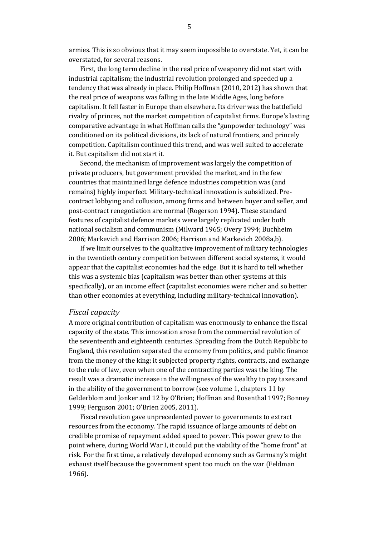armies. This is so obvious that it may seem impossible to overstate. Yet, it can be overstated, for several reasons.

First, the long term decline in the real price of weaponry did not start with industrial capitalism; the industrial revolution prolonged and speeded up a tendency that was already in place. Philip Hoffman (2010, 2012) has shown that the real price of weapons was falling in the late Middle Ages, long before capitalism. It fell faster in Europe than elsewhere. Its driver was the battlefield rivalry of princes, not the market competition of capitalist firms. Europe's lasting comparative advantage in what Hoffman calls the "gunpowder technology" was conditioned on its political divisions, its lack of natural frontiers, and princely competition. Capitalism continued this trend, and was well suited to accelerate it. But capitalism did not start it.

Second, the mechanism of improvement was largely the competition of private producers, but government provided the market, and in the few countries that maintained large defence industries competition was (and remains) highly imperfect. Military-technical innovation is subsidized. Precontract lobbying and collusion, among firms and between buyer and seller, and post-contract renegotiation are normal (Rogerson 1994). These standard features of capitalist defence markets were largely replicated under both national socialism and communism (Milward 1965; Overy 1994; Buchheim 2006; Markevich and Harrison 2006; Harrison and Markevich 2008a,b).

If we limit ourselves to the qualitative improvement of military technologies in the twentieth century competition between different social systems, it would appear that the capitalist economies had the edge. But it is hard to tell whether this was a systemic bias (capitalism was better than other systems at this specifically), or an income effect (capitalist economies were richer and so better than other economies at everything, including military-technical innovation).

#### *Fiscal capacity*

A more original contribution of capitalism was enormously to enhance the fiscal capacity of the state. This innovation arose from the commercial revolution of the seventeenth and eighteenth centuries. Spreading from the Dutch Republic to England, this revolution separated the economy from politics, and public finance from the money of the king; it subjected property rights, contracts, and exchange to the rule of law, even when one of the contracting parties was the king. The result was a dramatic increase in the willingness of the wealthy to pay taxes and in the ability of the government to borrow (see volume 1, chapters 11 by Gelderblom and Jonker and 12 by O'Brien; Hoffman and Rosenthal 1997; Bonney 1999; Ferguson 2001; O'Brien 2005, 2011).

Fiscal revolution gave unprecedented power to governments to extract resources from the economy. The rapid issuance of large amounts of debt on credible promise of repayment added speed to power. This power grew to the point where, during World War I, it could put the viability of the "home front" at risk. For the first time, a relatively developed economy such as Germany's might exhaust itself because the government spent too much on the war (Feldman 1966).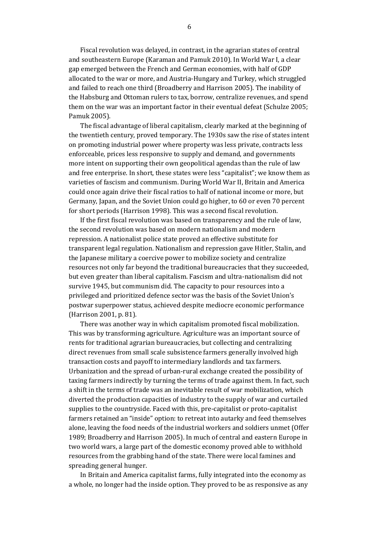Fiscal revolution was delayed, in contrast, in the agrarian states of central and southeastern Europe (Karaman and Pamuk 2010). In World War I, a clear gap emerged between the French and German economies, with half of GDP allocated to the war or more, and Austria-Hungary and Turkey, which struggled and failed to reach one third (Broadberry and Harrison 2005). The inability of the Habsburg and Ottoman rulers to tax, borrow, centralize revenues, and spend them on the war was an important factor in their eventual defeat (Schulze 2005; Pamuk 2005).

The fiscal advantage of liberal capitalism, clearly marked at the beginning of the twentieth century, proved temporary. The 1930s saw the rise of states intent on promoting industrial power where property was less private, contracts less enforceable, prices less responsive to supply and demand, and governments more intent on supporting their own geopolitical agendas than the rule of law and free enterprise. In short, these states were less "capitalist"; we know them as varieties of fascism and communism. During World War II, Britain and America could once again drive their fiscal ratios to half of national income or more, but Germany, Japan, and the Soviet Union could go higher, to 60 or even 70 percent for short periods (Harrison 1998). This was a second fiscal revolution.

If the first fiscal revolution was based on transparency and the rule of law, the second revolution was based on modern nationalism and modern repression. A nationalist police state proved an effective substitute for transparent legal regulation. Nationalism and repression gave Hitler, Stalin, and the Japanese military a coercive power to mobilize society and centralize resources not only far beyond the traditional bureaucracies that they succeeded, but even greater than liberal capitalism. Fascism and ultra-nationalism did not survive 1945, but communism did. The capacity to pour resources into a privileged and prioritized defence sector was the basis of the Soviet Union's postwar superpower status, achieved despite mediocre economic performance (Harrison 2001, p. 81).

There was another way in which capitalism promoted fiscal mobilization. This was by transforming agriculture. Agriculture was an important source of rents for traditional agrarian bureaucracies, but collecting and centralizing direct revenues from small scale subsistence farmers generally involved high transaction costs and payoff to intermediary landlords and tax farmers. Urbanization and the spread of urban-rural exchange created the possibility of taxing farmers indirectly by turning the terms of trade against them. In fact, such a shift in the terms of trade was an inevitable result of war mobilization, which diverted the production capacities of industry to the supply of war and curtailed supplies to the countryside. Faced with this, pre-capitalist or proto-capitalist farmers retained an "inside" option: to retreat into autarky and feed themselves alone, leaving the food needs of the industrial workers and soldiers unmet (Offer 1989; Broadberry and Harrison 2005). In much of central and eastern Europe in two world wars, a large part of the domestic economy proved able to withhold resources from the grabbing hand of the state. There were local famines and spreading general hunger.

In Britain and America capitalist farms, fully integrated into the economy as a whole, no longer had the inside option. They proved to be as responsive as any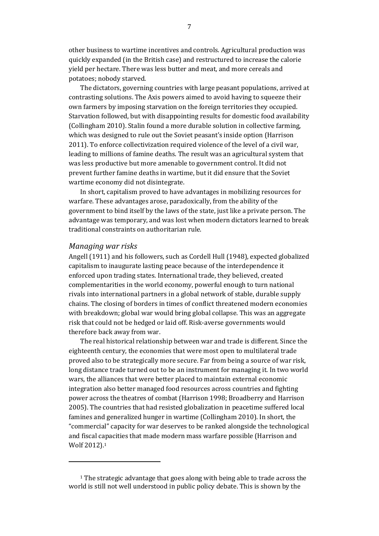other business to wartime incentives and controls. Agricultural production was quickly expanded (in the British case) and restructured to increase the calorie yield per hectare. There was less butter and meat, and more cereals and potatoes; nobody starved.

The dictators, governing countries with large peasant populations, arrived at contrasting solutions. The Axis powers aimed to avoid having to squeeze their own farmers by imposing starvation on the foreign territories they occupied. Starvation followed, but with disappointing results for domestic food availability (Collingham 2010). Stalin found a more durable solution in collective farming, which was designed to rule out the Soviet peasant's inside option (Harrison 2011). To enforce collectivization required violence of the level of a civil war, leading to millions of famine deaths. The result was an agricultural system that was less productive but more amenable to government control. It did not prevent further famine deaths in wartime, but it did ensure that the Soviet wartime economy did not disintegrate.

In short, capitalism proved to have advantages in mobilizing resources for warfare. These advantages arose, paradoxically, from the ability of the government to bind itself by the laws of the state, just like a private person. The advantage was temporary, and was lost when modern dictators learned to break traditional constraints on authoritarian rule.

#### *Managing war risks*

Angell (1911) and his followers, such as Cordell Hull (1948), expected globalized capitalism to inaugurate lasting peace because of the interdependence it enforced upon trading states. International trade, they believed, created complementarities in the world economy, powerful enough to turn national rivals into international partners in a global network of stable, durable supply chains. The closing of borders in times of conflict threatened modern economies with breakdown; global war would bring global collapse. This was an aggregate risk that could not be hedged or laid off. Risk-averse governments would therefore back away from war.

The real historical relationship between war and trade is different. Since the eighteenth century, the economies that were most open to multilateral trade proved also to be strategically more secure. Far from being a source of war risk, long distance trade turned out to be an instrument for managing it. In two world wars, the alliances that were better placed to maintain external economic integration also better managed food resources across countries and fighting power across the theatres of combat (Harrison 1998; Broadberry and Harrison 2005). The countries that had resisted globalization in peacetime suffered local famines and generalized hunger in wartime (Collingham 2010). In short, the "commercial" capacity for war deserves to be ranked alongside the technological and fiscal capacities that made modern mass warfare possible (Harrison and Wolf 2012).<sup>1</sup>

<sup>1</sup> The strategic advantage that goes along with being able to trade across the world is still not well understood in public policy debate. This is shown by the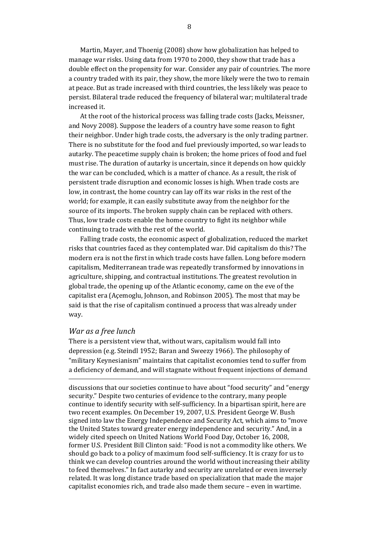Martin, Mayer, and Thoenig (2008) show how globalization has helped to manage war risks. Using data from 1970 to 2000, they show that trade has a double effect on the propensity for war. Consider any pair of countries. The more a country traded with its pair, they show, the more likely were the two to remain at peace. But as trade increased with third countries, the less likely was peace to persist. Bilateral trade reduced the frequency of bilateral war; multilateral trade increased it.

At the root of the historical process was falling trade costs (Jacks, Meissner, and Novy 2008). Suppose the leaders of a country have some reason to fight their neighbor. Under high trade costs, the adversary is the only trading partner. There is no substitute for the food and fuel previously imported, so war leads to autarky. The peacetime supply chain is broken; the home prices of food and fuel must rise. The duration of autarky is uncertain, since it depends on how quickly the war can be concluded, which is a matter of chance. As a result, the risk of persistent trade disruption and economic losses is high. When trade costs are low, in contrast, the home country can lay off its war risks in the rest of the world; for example, it can easily substitute away from the neighbor for the source of its imports. The broken supply chain can be replaced with others. Thus, low trade costs enable the home country to fight its neighbor while continuing to trade with the rest of the world.

Falling trade costs, the economic aspect of globalization, reduced the market risks that countries faced as they contemplated war. Did capitalism do this? The modern era is not the first in which trade costs have fallen. Long before modern capitalism, Mediterranean trade was repeatedly transformed by innovations in agriculture, shipping, and contractual institutions. The greatest revolution in global trade, the opening up of the Atlantic economy, came on the eve of the capitalist era (Açemoglu, Johnson, and Robinson 2005). The most that may be said is that the rise of capitalism continued a process that was already under way.

# *War as a free lunch*

There is a persistent view that, without wars, capitalism would fall into depression (e.g. Steindl 1952; Baran and Sweezy 1966). The philosophy of "military Keynesianism" maintains that capitalist economies tend to suffer from a deficiency of demand, and will stagnate without frequent injections of demand

discussions that our societies continue to have about "food security" and "energy security." Despite two centuries of evidence to the contrary, many people continue to identify security with self-sufficiency. In a bipartisan spirit, here are two recent examples. On December 19, 2007, U.S. President George W. Bush signed into law the Energy Independence and Security Act, which aims to "move the United States toward greater energy independence and security." And, in a widely cited speech on United Nations World Food Day, October 16, 2008, former U.S. President Bill Clinton said: "Food is not a commodity like others. We should go back to a policy of maximum food self-sufficiency. It is crazy for us to think we can develop countries around the world without increasing their ability to feed themselves." In fact autarky and security are unrelated or even inversely related. It was long distance trade based on specialization that made the major capitalist economies rich, and trade also made them secure – even in wartime.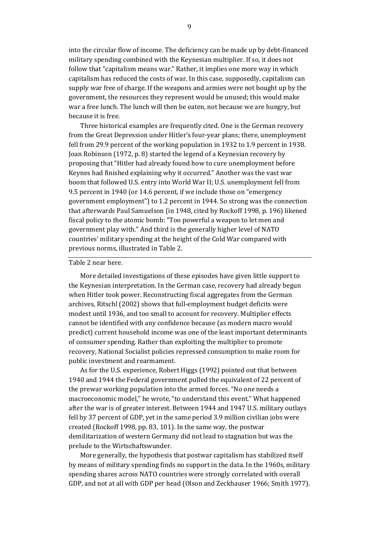into the circular flow of income. The deficiency can be made up by debt-financed military spending combined with the Keynesian multiplier. If so, it does not follow that "capitalism means war." Rather, it implies one more way in which capitalism has reduced the costs of war. In this case, supposedly, capitalism can supply war free of charge. If the weapons and armies were not bought up by the government, the resources they represent would be unused; this would make war a free lunch. The lunch will then be eaten, not because we are hungry, but because it is free.

Three historical examples are frequently cited. One is the German recovery from the Great Depression under Hitler's four-year plans; there, unemployment fell from 29.9 percent of the working population in 1932 to 1.9 percent in 1938. Joan Robinson (1972, p. 8) started the legend of a Keynesian recovery by proposing that "Hitler had already found how to cure unemployment before Keynes had finished explaining why it occurred." Another was the vast war boom that followed U.S. entry into World War II; U.S. unemployment fell from 9.5 percent in 1940 (or 14.6 percent, if we include those on "emergency government employment") to 1.2 percent in 1944. So strong was the connection that afterwards Paul Samuelson (in 1948, cited by Rockoff 1998, p. 196) likened fiscal policy to the atomic bomb: "Too powerful a weapon to let men and government play with." And third is the generally higher level of NATO countries' military spending at the height of the Cold War compared with previous norms, illustrated in Table 2.

#### Table 2 near here.

More detailed investigations of these episodes have given little support to the Keynesian interpretation. In the German case, recovery had already begun when Hitler took power. Reconstructing fiscal aggregates from the German archives, Ritschl (2002) shows that full-employment budget deficits were modest until 1936, and too small to account for recovery. Multiplier effects cannot be identified with any confidence because (as modern macro would predict) current household income was one of the least important determinants of consumer spending. Rather than exploiting the multiplier to promote recovery, National Socialist policies repressed consumption to make room for public investment and rearmament.

As for the U.S. experience, Robert Higgs (1992) pointed out that between 1940 and 1944 the Federal government pulled the equivalent of 22 percent of the prewar working population into the armed forces. "No one needs a macroeconomic model," he wrote, "to understand this event." What happened after the war is of greater interest. Between 1944 and 1947 U.S. military outlays fell by 37 percent of GDP, yet in the same period 3.9 million civilian jobs were created (Rockoff 1998, pp. 83, 101). In the same way, the postwar demilitarization of western Germany did not lead to stagnation but was the prelude to the Wirtschaftswunder.

More generally, the hypothesis that postwar capitalism has stabilized itself by means of military spending finds no support in the data. In the 1960s, military spending shares across NATO countries were strongly correlated with overall GDP, and not at all with GDP per head (Olson and Zeckhauser 1966; Smith 1977).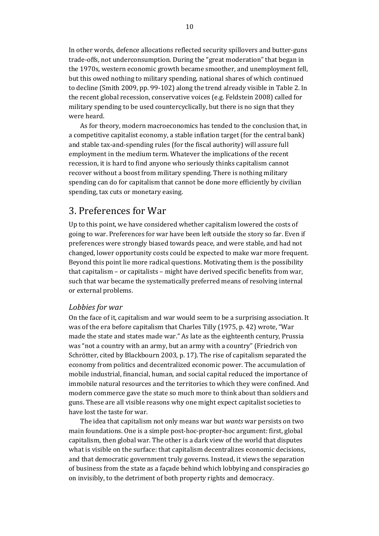In other words, defence allocations reflected security spillovers and butter-guns trade-offs, not underconsumption. During the "great moderation" that began in the 1970s, western economic growth became smoother, and unemployment fell, but this owed nothing to military spending, national shares of which continued to decline (Smith 2009, pp. 99-102) along the trend already visible in Table 2. In the recent global recession, conservative voices (e.g. Feldstein 2008) called for military spending to be used countercyclically, but there is no sign that they were heard.

As for theory, modern macroeconomics has tended to the conclusion that, in a competitive capitalist economy, a stable inflation target (for the central bank) and stable tax-and-spending rules (for the fiscal authority) will assure full employment in the medium term. Whatever the implications of the recent recession, it is hard to find anyone who seriously thinks capitalism cannot recover without a boost from military spending. There is nothing military spending can do for capitalism that cannot be done more efficiently by civilian spending, tax cuts or monetary easing.

# 3. Preferences for War

Up to this point, we have considered whether capitalism lowered the costs of going to war. Preferences for war have been left outside the story so far. Even if preferences were strongly biased towards peace, and were stable, and had not changed, lower opportunity costs could be expected to make war more frequent. Beyond this point lie more radical questions. Motivating them is the possibility that capitalism – or capitalists – might have derived specific benefits from war, such that war became the systematically preferred means of resolving internal or external problems.

### *Lobbies for war*

On the face of it, capitalism and war would seem to be a surprising association. It was of the era before capitalism that Charles Tilly (1975, p. 42) wrote, "War made the state and states made war." As late as the eighteenth century, Prussia was "not a country with an army, but an army with a country" (Friedrich von Schrötter, cited by Blackbourn 2003, p. 17). The rise of capitalism separated the economy from politics and decentralized economic power. The accumulation of mobile industrial, financial, human, and social capital reduced the importance of immobile natural resources and the territories to which they were confined. And modern commerce gave the state so much more to think about than soldiers and guns. These are all visible reasons why one might expect capitalist societies to have lost the taste for war.

The idea that capitalism not only means war but *wants* war persists on two main foundations. One is a simple post-hoc-propter-hoc argument: first, global capitalism, then global war. The other is a dark view of the world that disputes what is visible on the surface: that capitalism decentralizes economic decisions, and that democratic government truly governs. Instead, it views the separation of business from the state as a façade behind which lobbying and conspiracies go on invisibly, to the detriment of both property rights and democracy.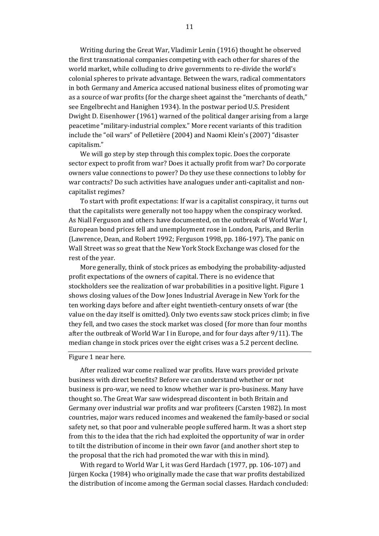Writing during the Great War, Vladimir Lenin (1916) thought he observed the first transnational companies competing with each other for shares of the world market, while colluding to drive governments to re-divide the world's colonial spheres to private advantage. Between the wars, radical commentators in both Germany and America accused national business elites of promoting war as a source of war profits (for the charge sheet against the "merchants of death," see Engelbrecht and Hanighen 1934). In the postwar period U.S. President Dwight D. Eisenhower (1961) warned of the political danger arising from a large peacetime "military-industrial complex." More recent variants of this tradition include the "oil wars" of Pelletière (2004) and Naomi Klein's (2007) "disaster capitalism."

We will go step by step through this complex topic. Does the corporate sector expect to profit from war? Does it actually profit from war? Do corporate owners value connections to power? Do they use these connections to lobby for war contracts? Do such activities have analogues under anti-capitalist and noncapitalist regimes?

To start with profit expectations: If war is a capitalist conspiracy, it turns out that the capitalists were generally not too happy when the conspiracy worked. As Niall Ferguson and others have documented, on the outbreak of World War I, European bond prices fell and unemployment rose in London, Paris, and Berlin (Lawrence, Dean, and Robert 1992; Ferguson 1998, pp. 186-197). The panic on Wall Street was so great that the New York Stock Exchange was closed for the rest of the year.

More generally, think of stock prices as embodying the probability-adjusted profit expectations of the owners of capital. There is no evidence that stockholders see the realization of war probabilities in a positive light. Figure 1 shows closing values of the Dow Jones Industrial Average in New York for the ten working days before and after eight twentieth-century onsets of war (the value on the day itself is omitted). Only two events saw stock prices climb; in five they fell, and two cases the stock market was closed (for more than four months after the outbreak of World War I in Europe, and for four days after 9/11). The median change in stock prices over the eight crises was a 5.2 percent decline.

#### Figure 1 near here.

After realized war come realized war profits. Have wars provided private business with direct benefits? Before we can understand whether or not business is pro-war, we need to know whether war is pro-business. Many have thought so. The Great War saw widespread discontent in both Britain and Germany over industrial war profits and war profiteers (Carsten 1982). In most countries, major wars reduced incomes and weakened the family-based or social safety net, so that poor and vulnerable people suffered harm. It was a short step from this to the idea that the rich had exploited the opportunity of war in order to tilt the distribution of income in their own favor (and another short step to the proposal that the rich had promoted the war with this in mind).

With regard to World War I, it was Gerd Hardach (1977, pp. 106-107) and Jürgen Kocka (1984) who originally made the case that war profits destabilized the distribution of income among the German social classes. Hardach concluded: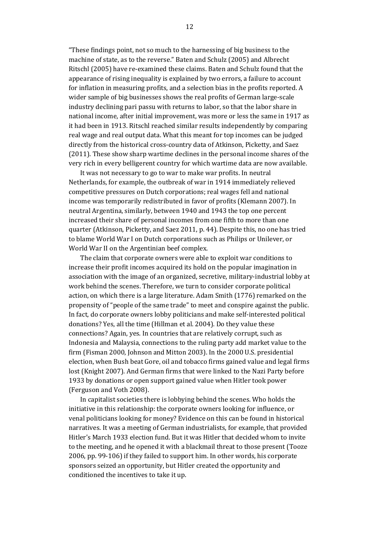"These findings point, not so much to the harnessing of big business to the machine of state, as to the reverse." Baten and Schulz (2005) and Albrecht Ritschl (2005) have re-examined these claims. Baten and Schulz found that the appearance of rising inequality is explained by two errors, a failure to account for inflation in measuring profits, and a selection bias in the profits reported. A wider sample of big businesses shows the real profits of German large-scale industry declining pari passu with returns to labor, so that the labor share in national income, after initial improvement, was more or less the same in 1917 as it had been in 1913. Ritschl reached similar results independently by comparing real wage and real output data. What this meant for top incomes can be judged directly from the historical cross-country data of Atkinson, Picketty, and Saez (2011). These show sharp wartime declines in the personal income shares of the very rich in every belligerent country for which wartime data are now available.

It was not necessary to go to war to make war profits. In neutral Netherlands, for example, the outbreak of war in 1914 immediately relieved competitive pressures on Dutch corporations; real wages fell and national income was temporarily redistributed in favor of profits (Klemann 2007). In neutral Argentina, similarly, between 1940 and 1943 the top one percent increased their share of personal incomes from one fifth to more than one quarter (Atkinson, Picketty, and Saez 2011, p. 44). Despite this, no one has tried to blame World War I on Dutch corporations such as Philips or Unilever, or World War II on the Argentinian beef complex.

The claim that corporate owners were able to exploit war conditions to increase their profit incomes acquired its hold on the popular imagination in association with the image of an organized, secretive, military-industrial lobby at work behind the scenes. Therefore, we turn to consider corporate political action, on which there is a large literature. Adam Smith (1776) remarked on the propensity of "people of the same trade" to meet and conspire against the public. In fact, do corporate owners lobby politicians and make self-interested political donations? Yes, all the time (Hillman et al. 2004). Do they value these connections? Again, yes. In countries that are relatively corrupt, such as Indonesia and Malaysia, connections to the ruling party add market value to the firm (Fisman 2000, Johnson and Mitton 2003). In the 2000 U.S. presidential election, when Bush beat Gore, oil and tobacco firms gained value and legal firms lost (Knight 2007). And German firms that were linked to the Nazi Party before 1933 by donations or open support gained value when Hitler took power (Ferguson and Voth 2008).

In capitalist societies there is lobbying behind the scenes. Who holds the initiative in this relationship: the corporate owners looking for influence, or venal politicians looking for money? Evidence on this can be found in historical narratives. It was a meeting of German industrialists, for example, that provided Hitler's March 1933 election fund. But it was Hitler that decided whom to invite to the meeting, and he opened it with a blackmail threat to those present (Tooze 2006, pp. 99-106) if they failed to support him. In other words, his corporate sponsors seized an opportunity, but Hitler created the opportunity and conditioned the incentives to take it up.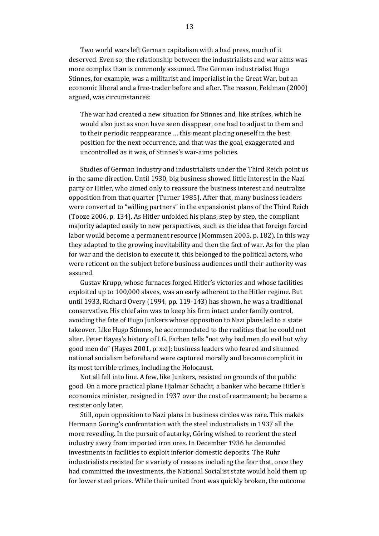Two world wars left German capitalism with a bad press, much of it deserved. Even so, the relationship between the industrialists and war aims was more complex than is commonly assumed. The German industrialist Hugo Stinnes, for example, was a militarist and imperialist in the Great War, but an economic liberal and a free-trader before and after. The reason, Feldman (2000) argued, was circumstances:

The war had created a new situation for Stinnes and, like strikes, which he would also just as soon have seen disappear, one had to adjust to them and to their periodic reappearance … this meant placing oneself in the best position for the next occurrence, and that was the goal, exaggerated and uncontrolled as it was, of Stinnes's war-aims policies.

Studies of German industry and industrialists under the Third Reich point us in the same direction. Until 1930, big business showed little interest in the Nazi party or Hitler, who aimed only to reassure the business interest and neutralize opposition from that quarter (Turner 1985). After that, many business leaders were converted to "willing partners" in the expansionist plans of the Third Reich (Tooze 2006, p. 134). As Hitler unfolded his plans, step by step, the compliant majority adapted easily to new perspectives, such as the idea that foreign forced labor would become a permanent resource (Mommsen 2005, p. 182). In this way they adapted to the growing inevitability and then the fact of war. As for the plan for war and the decision to execute it, this belonged to the political actors, who were reticent on the subject before business audiences until their authority was assured.

Gustav Krupp, whose furnaces forged Hitler's victories and whose facilities exploited up to 100,000 slaves, was an early adherent to the Hitler regime. But until 1933, Richard Overy (1994, pp. 119-143) has shown, he was a traditional conservative. His chief aim was to keep his firm intact under family control, avoiding the fate of Hugo Junkers whose opposition to Nazi plans led to a state takeover. Like Hugo Stinnes, he accommodated to the realities that he could not alter. Peter Hayes's history of I.G. Farben tells "not why bad men do evil but why good men do" (Hayes 2001, p. xxi): business leaders who feared and shunned national socialism beforehand were captured morally and became complicit in its most terrible crimes, including the Holocaust.

Not all fell into line. A few, like Junkers, resisted on grounds of the public good. On a more practical plane Hjalmar Schacht, a banker who became Hitler's economics minister, resigned in 1937 over the cost of rearmament; he became a resister only later.

Still, open opposition to Nazi plans in business circles was rare. This makes Hermann Göring's confrontation with the steel industrialists in 1937 all the more revealing. In the pursuit of autarky, Göring wished to reorient the steel industry away from imported iron ores. In December 1936 he demanded investments in facilities to exploit inferior domestic deposits. The Ruhr industrialists resisted for a variety of reasons including the fear that, once they had committed the investments, the National Socialist state would hold them up for lower steel prices. While their united front was quickly broken, the outcome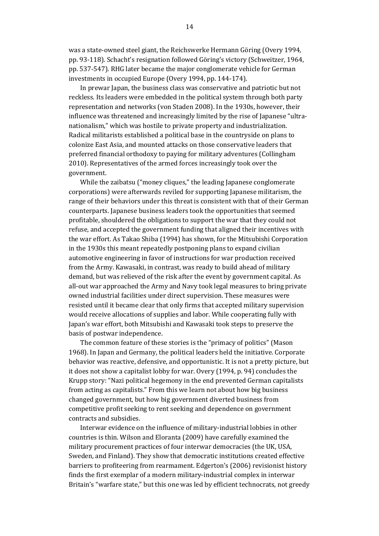was a state-owned steel giant, the Reichswerke Hermann Göring (Overy 1994, pp. 93-118). Schacht's resignation followed Göring's victory (Schweitzer, 1964, pp. 537-547). RHG later became the major conglomerate vehicle for German investments in occupied Europe (Overy 1994, pp. 144-174).

In prewar Japan, the business class was conservative and patriotic but not reckless. Its leaders were embedded in the political system through both party representation and networks (von Staden 2008). In the 1930s, however, their influence was threatened and increasingly limited by the rise of Japanese "ultranationalism," which was hostile to private property and industrialization. Radical militarists established a political base in the countryside on plans to colonize East Asia, and mounted attacks on those conservative leaders that preferred financial orthodoxy to paying for military adventures (Collingham 2010). Representatives of the armed forces increasingly took over the government.

While the zaibatsu ("money cliques," the leading Japanese conglomerate corporations) were afterwards reviled for supporting Japanese militarism, the range of their behaviors under this threat is consistent with that of their German counterparts. Japanese business leaders took the opportunities that seemed profitable, shouldered the obligations to support the war that they could not refuse, and accepted the government funding that aligned their incentives with the war effort. As Takao Shiba (1994) has shown, for the Mitsubishi Corporation in the 1930s this meant repeatedly postponing plans to expand civilian automotive engineering in favor of instructions for war production received from the Army. Kawasaki, in contrast, was ready to build ahead of military demand, but was relieved of the risk after the event by government capital. As all-out war approached the Army and Navy took legal measures to bring private owned industrial facilities under direct supervision. These measures were resisted until it became clear that only firms that accepted military supervision would receive allocations of supplies and labor. While cooperating fully with Japan's war effort, both Mitsubishi and Kawasaki took steps to preserve the basis of postwar independence.

The common feature of these stories is the "primacy of politics" (Mason 1968). In Japan and Germany, the political leaders held the initiative. Corporate behavior was reactive, defensive, and opportunistic. It is not a pretty picture, but it does not show a capitalist lobby for war. Overy (1994, p. 94) concludes the Krupp story: "Nazi political hegemony in the end prevented German capitalists from acting as capitalists." From this we learn not about how big business changed government, but how big government diverted business from competitive profit seeking to rent seeking and dependence on government contracts and subsidies.

Interwar evidence on the influence of military-industrial lobbies in other countries is thin. Wilson and Eloranta (2009) have carefully examined the military procurement practices of four interwar democracies (the UK, USA, Sweden, and Finland). They show that democratic institutions created effective barriers to profiteering from rearmament. Edgerton's (2006) revisionist history finds the first exemplar of a modern military-industrial complex in interwar Britain's "warfare state," but this one was led by efficient technocrats, not greedy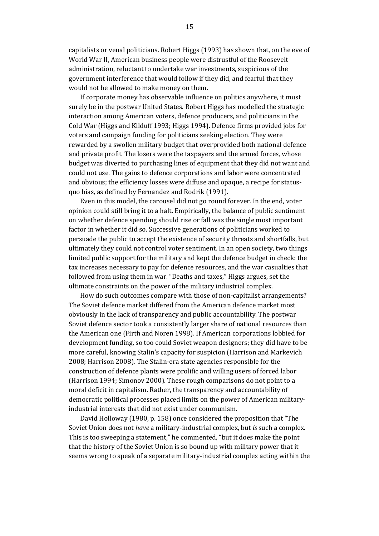capitalists or venal politicians. Robert Higgs (1993) has shown that, on the eve of World War II, American business people were distrustful of the Roosevelt administration, reluctant to undertake war investments, suspicious of the government interference that would follow if they did, and fearful that they would not be allowed to make money on them.

If corporate money has observable influence on politics anywhere, it must surely be in the postwar United States. Robert Higgs has modelled the strategic interaction among American voters, defence producers, and politicians in the Cold War (Higgs and Kilduff 1993; Higgs 1994). Defence firms provided jobs for voters and campaign funding for politicians seeking election. They were rewarded by a swollen military budget that overprovided both national defence and private profit. The losers were the taxpayers and the armed forces, whose budget was diverted to purchasing lines of equipment that they did not want and could not use. The gains to defence corporations and labor were concentrated and obvious; the efficiency losses were diffuse and opaque, a recipe for statusquo bias, as defined by Fernandez and Rodrik (1991).

Even in this model, the carousel did not go round forever. In the end, voter opinion could still bring it to a halt. Empirically, the balance of public sentiment on whether defence spending should rise or fall was the single most important factor in whether it did so. Successive generations of politicians worked to persuade the public to accept the existence of security threats and shortfalls, but ultimately they could not control voter sentiment. In an open society, two things limited public support for the military and kept the defence budget in check: the tax increases necessary to pay for defence resources, and the war casualties that followed from using them in war. "Deaths and taxes," Higgs argues, set the ultimate constraints on the power of the military industrial complex.

How do such outcomes compare with those of non-capitalist arrangements? The Soviet defence market differed from the American defence market most obviously in the lack of transparency and public accountability. The postwar Soviet defence sector took a consistently larger share of national resources than the American one (Firth and Noren 1998). If American corporations lobbied for development funding, so too could Soviet weapon designers; they did have to be more careful, knowing Stalin's capacity for suspicion (Harrison and Markevich 2008; Harrison 2008). The Stalin-era state agencies responsible for the construction of defence plants were prolific and willing users of forced labor (Harrison 1994; Simonov 2000). These rough comparisons do not point to a moral deficit in capitalism. Rather, the transparency and accountability of democratic political processes placed limits on the power of American militaryindustrial interests that did not exist under communism.

David Holloway (1980, p. 158) once considered the proposition that "The Soviet Union does not *have* a military-industrial complex, but *is* such a complex. This is too sweeping a statement," he commented, "but it does make the point that the history of the Soviet Union is so bound up with military power that it seems wrong to speak of a separate military-industrial complex acting within the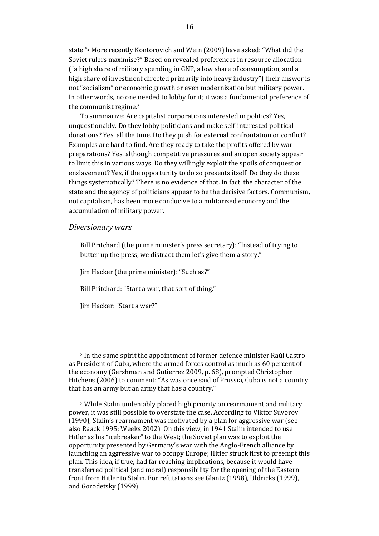state."<sup>2</sup> More recently Kontorovich and Wein (2009) have asked: "What did the Soviet rulers maximise?" Based on revealed preferences in resource allocation ("a high share of military spending in GNP, a low share of consumption, and a high share of investment directed primarily into heavy industry") their answer is not "socialism" or economic growth or even modernization but military power. In other words, no one needed to lobby for it; it was a fundamental preference of the communist regime.<sup>3</sup>

To summarize: Are capitalist corporations interested in politics? Yes, unquestionably. Do they lobby politicians and make self-interested political donations? Yes, all the time. Do they push for external confrontation or conflict? Examples are hard to find. Are they ready to take the profits offered by war preparations? Yes, although competitive pressures and an open society appear to limit this in various ways. Do they willingly exploit the spoils of conquest or enslavement? Yes, if the opportunity to do so presents itself. Do they do these things systematically? There is no evidence of that. In fact, the character of the state and the agency of politicians appear to be the decisive factors. Communism, not capitalism, has been more conducive to a militarized economy and the accumulation of military power.

### *Diversionary wars*

Bill Pritchard (the prime minister's press secretary): "Instead of trying to butter up the press, we distract them let's give them a story."

Jim Hacker (the prime minister): "Such as?"

Bill Pritchard: "Start a war, that sort of thing."

Jim Hacker: "Start a war?"

<sup>2</sup> In the same spirit the appointment of former defence minister Raúl Castro as President of Cuba, where the armed forces control as much as 60 percent of the economy (Gershman and Gutierrez 2009, p. 68), prompted Christopher Hitchens (2006) to comment: "As was once said of Prussia, Cuba is not a country that has an army but an army that has a country."

<sup>&</sup>lt;sup>3</sup> While Stalin undeniably placed high priority on rearmament and military power, it was still possible to overstate the case. According to Viktor Suvorov (1990), Stalin's rearmament was motivated by a plan for aggressive war (see also Raack 1995; Weeks 2002). On this view, in 1941 Stalin intended to use Hitler as his "icebreaker" to the West; the Soviet plan was to exploit the opportunity presented by Germany's war with the Anglo-French alliance by launching an aggressive war to occupy Europe; Hitler struck first to preempt this plan. This idea, if true, had far reaching implications, because it would have transferred political (and moral) responsibility for the opening of the Eastern front from Hitler to Stalin. For refutations see Glantz (1998), Uldricks (1999), and Gorodetsky (1999).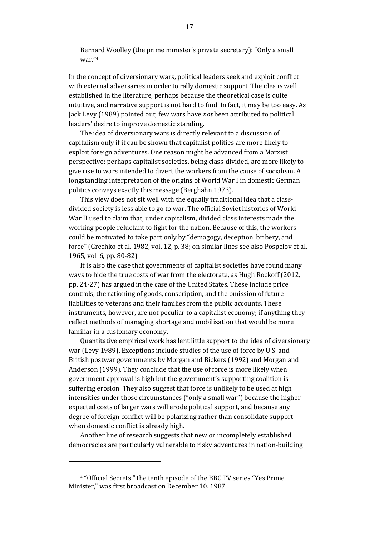Bernard Woolley (the prime minister's private secretary): "Only a small war."<sup>4</sup>

In the concept of diversionary wars, political leaders seek and exploit conflict with external adversaries in order to rally domestic support. The idea is well established in the literature, perhaps because the theoretical case is quite intuitive, and narrative support is not hard to find. In fact, it may be too easy. As Jack Levy (1989) pointed out, few wars have *not* been attributed to political leaders' desire to improve domestic standing.

The idea of diversionary wars is directly relevant to a discussion of capitalism only if it can be shown that capitalist polities are more likely to exploit foreign adventures. One reason might be advanced from a Marxist perspective: perhaps capitalist societies, being class-divided, are more likely to give rise to wars intended to divert the workers from the cause of socialism. A longstanding interpretation of the origins of World War I in domestic German politics conveys exactly this message (Berghahn 1973).

This view does not sit well with the equally traditional idea that a classdivided society is less able to go to war. The official Soviet histories of World War II used to claim that, under capitalism, divided class interests made the working people reluctant to fight for the nation. Because of this, the workers could be motivated to take part only by "demagogy, deception, bribery, and force" (Grechko et al. 1982, vol. 12, p. 38; on similar lines see also Pospelov et al. 1965, vol. 6, pp. 80-82).

It is also the case that governments of capitalist societies have found many ways to hide the true costs of war from the electorate, as Hugh Rockoff (2012, pp. 24-27) has argued in the case of the United States. These include price controls, the rationing of goods, conscription, and the omission of future liabilities to veterans and their families from the public accounts. These instruments, however, are not peculiar to a capitalist economy; if anything they reflect methods of managing shortage and mobilization that would be more familiar in a customary economy.

Quantitative empirical work has lent little support to the idea of diversionary war (Levy 1989). Exceptions include studies of the use of force by U.S. and British postwar governments by Morgan and Bickers (1992) and Morgan and Anderson (1999). They conclude that the use of force is more likely when government approval is high but the government's supporting coalition is suffering erosion. They also suggest that force is unlikely to be used at high intensities under those circumstances ("only a small war") because the higher expected costs of larger wars will erode political support, and because any degree of foreign conflict will be polarizing rather than consolidate support when domestic conflict is already high.

Another line of research suggests that new or incompletely established democracies are particularly vulnerable to risky adventures in nation-building

<sup>4</sup> "Official Secrets," the tenth episode of the BBC TV series "Yes Prime Minister," was first broadcast on December 10. 1987.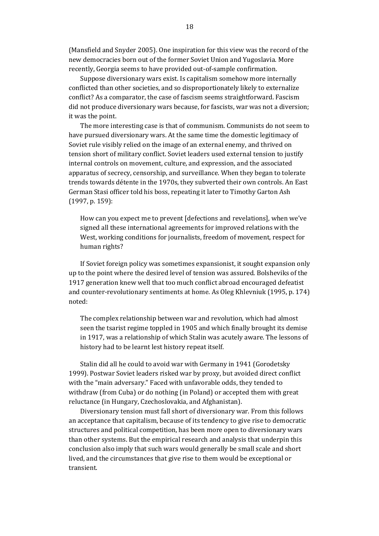(Mansfield and Snyder 2005). One inspiration for this view was the record of the new democracies born out of the former Soviet Union and Yugoslavia. More recently, Georgia seems to have provided out-of-sample confirmation.

Suppose diversionary wars exist. Is capitalism somehow more internally conflicted than other societies, and so disproportionately likely to externalize conflict? As a comparator, the case of fascism seems straightforward. Fascism did not produce diversionary wars because, for fascists, war was not a diversion; it was the point.

The more interesting case is that of communism. Communists do not seem to have pursued diversionary wars. At the same time the domestic legitimacy of Soviet rule visibly relied on the image of an external enemy, and thrived on tension short of military conflict. Soviet leaders used external tension to justify internal controls on movement, culture, and expression, and the associated apparatus of secrecy, censorship, and surveillance. When they began to tolerate trends towards détente in the 1970s, they subverted their own controls. An East German Stasi officer told his boss, repeating it later to Timothy Garton Ash (1997, p. 159):

How can you expect me to prevent [defections and revelations], when we've signed all these international agreements for improved relations with the West, working conditions for journalists, freedom of movement, respect for human rights?

If Soviet foreign policy was sometimes expansionist, it sought expansion only up to the point where the desired level of tension was assured. Bolsheviks of the 1917 generation knew well that too much conflict abroad encouraged defeatist and counter-revolutionary sentiments at home. As Oleg Khlevniuk (1995, p. 174) noted:

The complex relationship between war and revolution, which had almost seen the tsarist regime toppled in 1905 and which finally brought its demise in 1917, was a relationship of which Stalin was acutely aware. The lessons of history had to be learnt lest history repeat itself.

Stalin did all he could to avoid war with Germany in 1941 (Gorodetsky 1999). Postwar Soviet leaders risked war by proxy, but avoided direct conflict with the "main adversary." Faced with unfavorable odds, they tended to withdraw (from Cuba) or do nothing (in Poland) or accepted them with great reluctance (in Hungary, Czechoslovakia, and Afghanistan).

Diversionary tension must fall short of diversionary war. From this follows an acceptance that capitalism, because of its tendency to give rise to democratic structures and political competition, has been more open to diversionary wars than other systems. But the empirical research and analysis that underpin this conclusion also imply that such wars would generally be small scale and short lived, and the circumstances that give rise to them would be exceptional or transient.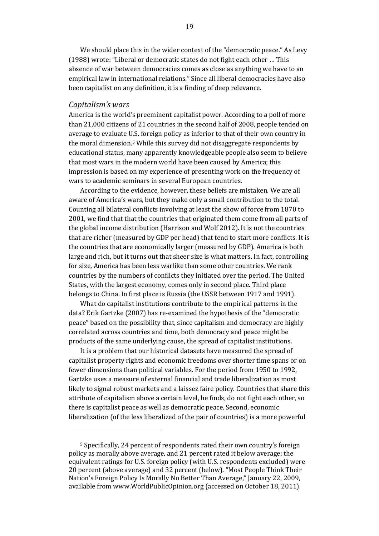We should place this in the wider context of the "democratic peace." As Levy (1988) wrote: "Liberal or democratic states do not fight each other … This absence of war between democracies comes as close as anything we have to an empirical law in international relations." Since all liberal democracies have also been capitalist on any definition, it is a finding of deep relevance.

#### *Capitalism's wars*

America is the world's preeminent capitalist power. According to a poll of more than 21,000 citizens of 21 countries in the second half of 2008, people tended on average to evaluate U.S. foreign policy as inferior to that of their own country in the moral dimension.<sup>5</sup> While this survey did not disaggregate respondents by educational status, many apparently knowledgeable people also seem to believe that most wars in the modern world have been caused by America; this impression is based on my experience of presenting work on the frequency of wars to academic seminars in several European countries.

According to the evidence, however, these beliefs are mistaken. We are all aware of America's wars, but they make only a small contribution to the total. Counting all bilateral conflicts involving at least the show of force from 1870 to 2001, we find that that the countries that originated them come from all parts of the global income distribution (Harrison and Wolf 2012). It is not the countries that are richer (measured by GDP per head) that tend to start more conflicts. It is the countries that are economically larger (measured by GDP). America is both large and rich, but it turns out that sheer size is what matters. In fact, controlling for size, America has been less warlike than some other countries. We rank countries by the numbers of conflicts they initiated over the period. The United States, with the largest economy, comes only in second place. Third place belongs to China. In first place is Russia (the USSR between 1917 and 1991).

What do capitalist institutions contribute to the empirical patterns in the data? Erik Gartzke (2007) has re-examined the hypothesis of the "democratic peace" based on the possibility that, since capitalism and democracy are highly correlated across countries and time, both democracy and peace might be products of the same underlying cause, the spread of capitalist institutions.

It is a problem that our historical datasets have measured the spread of capitalist property rights and economic freedoms over shorter time spans or on fewer dimensions than political variables. For the period from 1950 to 1992, Gartzke uses a measure of external financial and trade liberalization as most likely to signal robust markets and a laissez faire policy. Countries that share this attribute of capitalism above a certain level, he finds, do not fight each other, so there is capitalist peace as well as democratic peace. Second, economic liberalization (of the less liberalized of the pair of countries) is a more powerful

<sup>5</sup> Specifically, 24 percent of respondents rated their own country's foreign policy as morally above average, and 21 percent rated it below average; the equivalent ratings for U.S. foreign policy (with U.S. respondents excluded) were 20 percent (above average) and 32 percent (below). "Most People Think Their Nation's Foreign Policy Is Morally No Better Than Average," January 22, 2009, available from www.WorldPublicOpinion.org (accessed on October 18, 2011).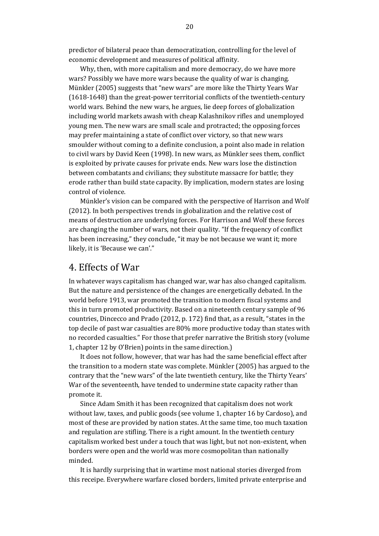predictor of bilateral peace than democratization, controlling for the level of economic development and measures of political affinity.

Why, then, with more capitalism and more democracy, do we have more wars? Possibly we have more wars because the quality of war is changing. Münkler (2005) suggests that "new wars" are more like the Thirty Years War (1618-1648) than the great-power territorial conflicts of the twentieth-century world wars. Behind the new wars, he argues, lie deep forces of globalization including world markets awash with cheap Kalashnikov rifles and unemployed young men. The new wars are small scale and protracted; the opposing forces may prefer maintaining a state of conflict over victory, so that new wars smoulder without coming to a definite conclusion, a point also made in relation to civil wars by David Keen (1998). In new wars, as Münkler sees them, conflict is exploited by private causes for private ends. New wars lose the distinction between combatants and civilians; they substitute massacre for battle; they erode rather than build state capacity. By implication, modern states are losing control of violence.

Münkler's vision can be compared with the perspective of Harrison and Wolf (2012). In both perspectives trends in globalization and the relative cost of means of destruction are underlying forces. For Harrison and Wolf these forces are changing the number of wars, not their quality. "If the frequency of conflict has been increasing," they conclude, "it may be not because we want it; more likely, it is 'Because we can'."

# 4. Effects of War

In whatever ways capitalism has changed war, war has also changed capitalism. But the nature and persistence of the changes are energetically debated. In the world before 1913, war promoted the transition to modern fiscal systems and this in turn promoted productivity. Based on a nineteenth century sample of 96 countries, Dincecco and Prado (2012, p. 172) find that, as a result, "states in the top decile of past war casualties are 80% more productive today than states with no recorded casualties." For those that prefer narrative the British story (volume 1, chapter 12 by O'Brien) points in the same direction.)

It does not follow, however, that war has had the same beneficial effect after the transition to a modern state was complete. Münkler (2005) has argued to the contrary that the "new wars" of the late twentieth century, like the Thirty Years' War of the seventeenth, have tended to undermine state capacity rather than promote it.

Since Adam Smith it has been recognized that capitalism does not work without law, taxes, and public goods (see volume 1, chapter 16 by Cardoso), and most of these are provided by nation states. At the same time, too much taxation and regulation are stifling. There is a right amount. In the twentieth century capitalism worked best under a touch that was light, but not non-existent, when borders were open and the world was more cosmopolitan than nationally minded.

It is hardly surprising that in wartime most national stories diverged from this receipe. Everywhere warfare closed borders, limited private enterprise and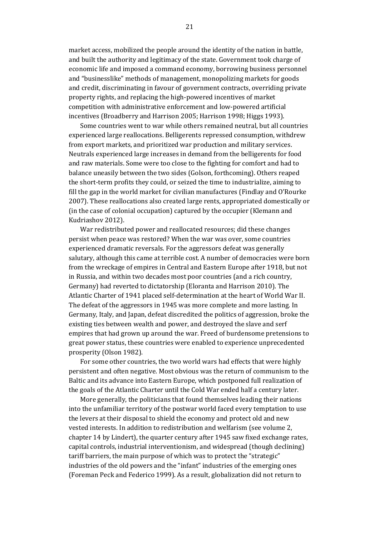market access, mobilized the people around the identity of the nation in battle, and built the authority and legitimacy of the state. Government took charge of economic life and imposed a command economy, borrowing business personnel and "businesslike" methods of management, monopolizing markets for goods and credit, discriminating in favour of government contracts, overriding private property rights, and replacing the high-powered incentives of market competition with administrative enforcement and low-powered artificial incentives (Broadberry and Harrison 2005; Harrison 1998; Higgs 1993).

Some countries went to war while others remained neutral, but all countries experienced large reallocations. Belligerents repressed consumption, withdrew from export markets, and prioritized war production and military services. Neutrals experienced large increases in demand from the belligerents for food and raw materials. Some were too close to the fighting for comfort and had to balance uneasily between the two sides (Golson, forthcoming). Others reaped the short-term profits they could, or seized the time to industrialize, aiming to fill the gap in the world market for civilian manufactures (Findlay and O'Rourke 2007). These reallocations also created large rents, appropriated domestically or (in the case of colonial occupation) captured by the occupier (Klemann and Kudriashov 2012).

War redistributed power and reallocated resources; did these changes persist when peace was restored? When the war was over, some countries experienced dramatic reversals. For the aggressors defeat was generally salutary, although this came at terrible cost. A number of democracies were born from the wreckage of empires in Central and Eastern Europe after 1918, but not in Russia, and within two decades most poor countries (and a rich country, Germany) had reverted to dictatorship (Eloranta and Harrison 2010). The Atlantic Charter of 1941 placed self-determination at the heart of World War II. The defeat of the aggressors in 1945 was more complete and more lasting. In Germany, Italy, and Japan, defeat discredited the politics of aggression, broke the existing ties between wealth and power, and destroyed the slave and serf empires that had grown up around the war. Freed of burdensome pretensions to great power status, these countries were enabled to experience unprecedented prosperity (Olson 1982).

For some other countries, the two world wars had effects that were highly persistent and often negative. Most obvious was the return of communism to the Baltic and its advance into Eastern Europe, which postponed full realization of the goals of the Atlantic Charter until the Cold War ended half a century later.

More generally, the politicians that found themselves leading their nations into the unfamiliar territory of the postwar world faced every temptation to use the levers at their disposal to shield the economy and protect old and new vested interests. In addition to redistribution and welfarism (see volume 2, chapter 14 by Lindert), the quarter century after 1945 saw fixed exchange rates, capital controls, industrial interventionism, and widespread (though declining) tariff barriers, the main purpose of which was to protect the "strategic" industries of the old powers and the "infant" industries of the emerging ones (Foreman Peck and Federico 1999). As a result, globalization did not return to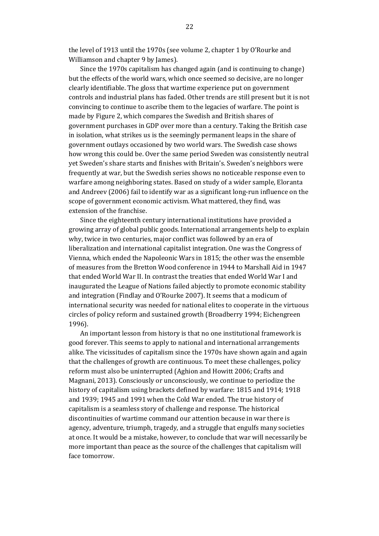the level of 1913 until the 1970s (see volume 2, chapter 1 by O'Rourke and Williamson and chapter 9 by James).

Since the 1970s capitalism has changed again (and is continuing to change) but the effects of the world wars, which once seemed so decisive, are no longer clearly identifiable. The gloss that wartime experience put on government controls and industrial plans has faded. Other trends are still present but it is not convincing to continue to ascribe them to the legacies of warfare. The point is made by Figure 2, which compares the Swedish and British shares of government purchases in GDP over more than a century. Taking the British case in isolation, what strikes us is the seemingly permanent leaps in the share of government outlays occasioned by two world wars. The Swedish case shows how wrong this could be. Over the same period Sweden was consistently neutral yet Sweden's share starts and finishes with Britain's. Sweden's neighbors were frequently at war, but the Swedish series shows no noticeable response even to warfare among neighboring states. Based on study of a wider sample, Eloranta and Andreev (2006) fail to identify war as a significant long-run influence on the scope of government economic activism. What mattered, they find, was extension of the franchise.

Since the eighteenth century international institutions have provided a growing array of global public goods. International arrangements help to explain why, twice in two centuries, major conflict was followed by an era of liberalization and international capitalist integration. One was the Congress of Vienna, which ended the Napoleonic Wars in 1815; the other was the ensemble of measures from the Bretton Wood conference in 1944 to Marshall Aid in 1947 that ended World War II. In contrast the treaties that ended World War I and inaugurated the League of Nations failed abjectly to promote economic stability and integration (Findlay and O'Rourke 2007). It seems that a modicum of international security was needed for national elites to cooperate in the virtuous circles of policy reform and sustained growth (Broadberry 1994; Eichengreen 1996).

An important lesson from history is that no one institutional framework is good forever. This seems to apply to national and international arrangements alike. The vicissitudes of capitalism since the 1970s have shown again and again that the challenges of growth are continuous. To meet these challenges, policy reform must also be uninterrupted (Aghion and Howitt 2006; Crafts and Magnani, 2013). Consciously or unconsciously, we continue to periodize the history of capitalism using brackets defined by warfare: 1815 and 1914; 1918 and 1939; 1945 and 1991 when the Cold War ended. The true history of capitalism is a seamless story of challenge and response. The historical discontinuities of wartime command our attention because in war there is agency, adventure, triumph, tragedy, and a struggle that engulfs many societies at once. It would be a mistake, however, to conclude that war will necessarily be more important than peace as the source of the challenges that capitalism will face tomorrow.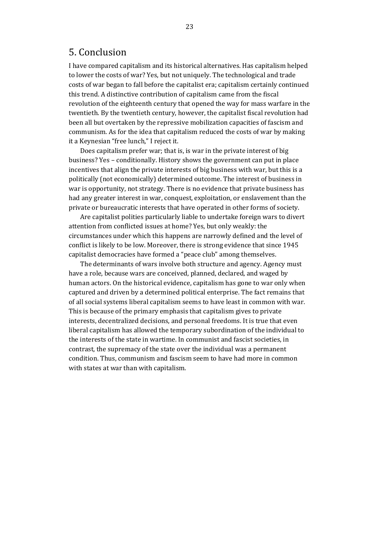# 5. Conclusion

I have compared capitalism and its historical alternatives. Has capitalism helped to lower the costs of war? Yes, but not uniquely. The technological and trade costs of war began to fall before the capitalist era; capitalism certainly continued this trend. A distinctive contribution of capitalism came from the fiscal revolution of the eighteenth century that opened the way for mass warfare in the twentieth. By the twentieth century, however, the capitalist fiscal revolution had been all but overtaken by the repressive mobilization capacities of fascism and communism. As for the idea that capitalism reduced the costs of war by making it a Keynesian "free lunch," I reject it.

Does capitalism prefer war; that is, is war in the private interest of big business? Yes – conditionally. History shows the government can put in place incentives that align the private interests of big business with war, but this is a politically (not economically) determined outcome. The interest of business in war is opportunity, not strategy. There is no evidence that private business has had any greater interest in war, conquest, exploitation, or enslavement than the private or bureaucratic interests that have operated in other forms of society.

Are capitalist polities particularly liable to undertake foreign wars to divert attention from conflicted issues at home? Yes, but only weakly: the circumstances under which this happens are narrowly defined and the level of conflict is likely to be low. Moreover, there is strong evidence that since 1945 capitalist democracies have formed a "peace club" among themselves.

The determinants of wars involve both structure and agency. Agency must have a role, because wars are conceived, planned, declared, and waged by human actors. On the historical evidence, capitalism has gone to war only when captured and driven by a determined political enterprise. The fact remains that of all social systems liberal capitalism seems to have least in common with war. This is because of the primary emphasis that capitalism gives to private interests, decentralized decisions, and personal freedoms. It is true that even liberal capitalism has allowed the temporary subordination of the individual to the interests of the state in wartime. In communist and fascist societies, in contrast, the supremacy of the state over the individual was a permanent condition. Thus, communism and fascism seem to have had more in common with states at war than with capitalism.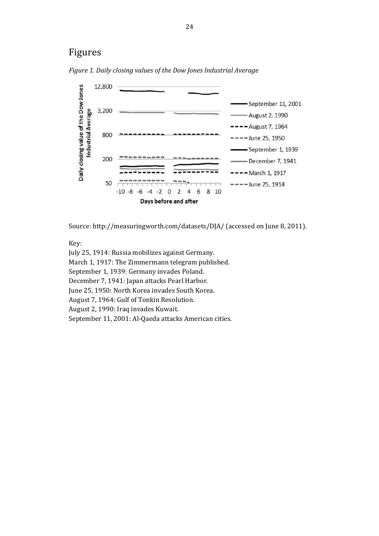# Figures





Source: http://measuringworth.com/datasets/DJA/ (accessed on June 8, 2011).

Key:

July 25, 1914: Russia mobilizes against Germany. March 1, 1917: The Zimmermann telegram published. September 1, 1939: Germany invades Poland. December 7, 1941: Japan attacks Pearl Harbor. June 25, 1950: North Korea invades South Korea. August 7, 1964: Gulf of Tonkin Resolution. August 2, 1990: Iraq invades Kuwait. September 11, 2001: Al-Qaeda attacks American cities.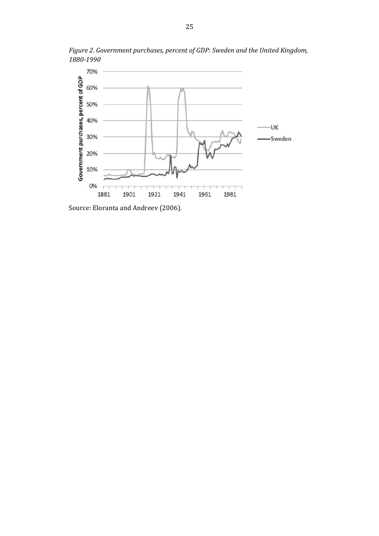

*Figure 2. Government purchases, percent of GDP: Sweden and the United Kingdom, 1880-1990*

Source: Eloranta and Andreev (2006).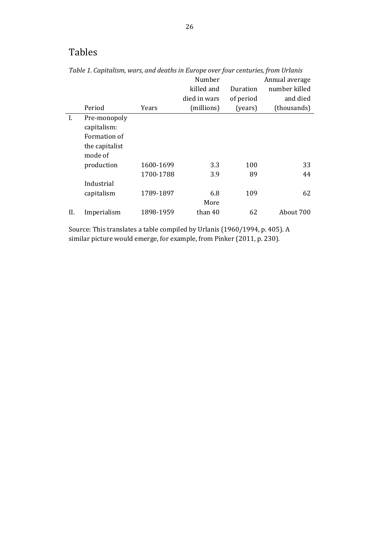# Tables

|     |                |           | Number       |           | Annual average |  |
|-----|----------------|-----------|--------------|-----------|----------------|--|
|     |                |           | killed and   | Duration  | number killed  |  |
|     |                |           | died in wars | of period | and died       |  |
|     | Period         | Years     | (millions)   | (years)   | (thousands)    |  |
| Ι.  | Pre-monopoly   |           |              |           |                |  |
|     | capitalism:    |           |              |           |                |  |
|     | Formation of   |           |              |           |                |  |
|     | the capitalist |           |              |           |                |  |
|     | mode of        |           |              |           |                |  |
|     | production     | 1600-1699 | 3.3          | 100       | 33             |  |
|     |                | 1700-1788 | 3.9          | 89        | 44             |  |
|     | Industrial     |           |              |           |                |  |
|     | capitalism     | 1789-1897 | 6.8          | 109       | 62             |  |
|     |                |           | More         |           |                |  |
| II. | Imperialism    | 1898-1959 | than 40      | 62        | About 700      |  |

*Table 1. Capitalism, wars, and deaths in Europe over four centuries, from Urlanis*

Source: This translates a table compiled by Urlanis (1960/1994, p. 405). A similar picture would emerge, for example, from Pinker (2011, p. 230).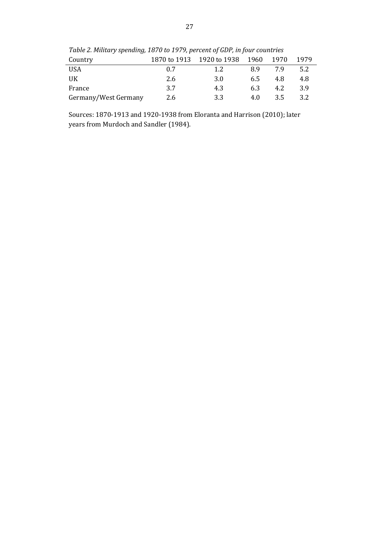| Country              |     | 1870 to 1913 1920 to 1938 1960 |     | 1970 | 1979 |
|----------------------|-----|--------------------------------|-----|------|------|
| <b>USA</b>           | 0.7 | 1.2                            | 8.9 | 79   | 5.2  |
| UK                   | 2.6 | 3.0                            | 6.5 | 4.8  | 4.8  |
| France               | 3.7 | 4.3                            | 6.3 | 4.2  | 3.9  |
| Germany/West Germany | 2.6 | 3.3                            | 4.0 | 3.5  | 3.2  |

*Table 2. Military spending, 1870 to 1979, percent of GDP, in four countries*

Sources: 1870-1913 and 1920-1938 from Eloranta and Harrison (2010); later years from Murdoch and Sandler (1984).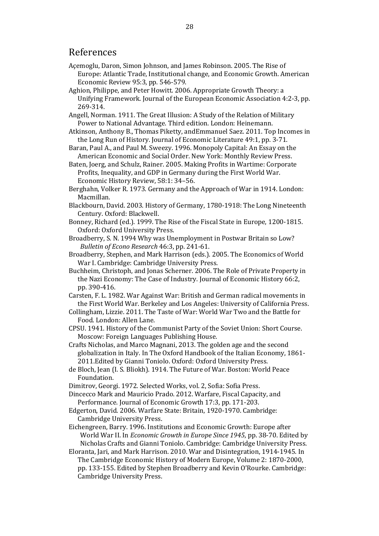# References

- Açemoglu, Daron, Simon Johnson, and James Robinson. 2005. The Rise of Europe: Atlantic Trade, Institutional change, and Economic Growth. American Economic Review 95:3, pp. 546-579.
- Aghion, Philippe, and Peter Howitt. 2006. Appropriate Growth Theory: a Unifying Framework. Journal of the European Economic Association 4:2-3, pp. 269-314.
- Angell, Norman. 1911. The Great Illusion: A Study of the Relation of Military Power to National Advantage. Third edition. London: Heinemann.
- Atkinson, Anthony B., Thomas Piketty, andEmmanuel Saez. 2011. Top Incomes in the Long Run of History. Journal of Economic Literature 49:1, pp. 3-71.
- Baran, Paul A., and Paul M. Sweezy. 1996. Monopoly Capital: An Essay on the American Economic and Social Order. New York: Monthly Review Press.
- Baten, Joerg, and Schulz, Rainer. 2005. Making Profits in Wartime: Corporate Profits, Inequality, and GDP in Germany during the First World War. Economic History Review, 58:1: 34–56.
- Berghahn, Volker R. 1973. Germany and the Approach of War in 1914. London: Macmillan.
- Blackbourn, David. 2003. History of Germany, 1780-1918: The Long Nineteenth Century. Oxford: Blackwell.
- Bonney, Richard (ed.). 1999. The Rise of the Fiscal State in Europe, 1200-1815. Oxford: Oxford University Press.
- Broadberry, S. N. 1994 Why was Unemployment in Postwar Britain so Low? *Bulletin of Econo Research* 46:3, pp. 241-61.
- Broadberry, Stephen, and Mark Harrison (eds.). 2005. The Economics of World War I. Cambridge: Cambridge University Press.
- Buchheim, Christoph, and Jonas Scherner. 2006. The Role of Private Property in the Nazi Economy: The Case of Industry. Journal of Economic History 66:2, pp. 390-416.
- Carsten, F. L. 1982. War Against War: British and German radical movements in the First World War. Berkeley and Los Angeles: University of California Press.
- Collingham, Lizzie. 2011. The Taste of War: World War Two and the Battle for Food. London: Allen Lane.
- CPSU. 1941. History of the Communist Party of the Soviet Union: Short Course. Moscow: Foreign Languages Publishing House.
- Crafts Nicholas, and Marco Magnani, 2013. The golden age and the second globalization in Italy. In The Oxford Handbook of the Italian Economy, 1861- 2011.Edited by Gianni Toniolo. Oxford: Oxford University Press.
- de Bloch, Jean (I. S. Bliokh). 1914. The Future of War. Boston: World Peace Foundation.
- Dimitrov, Georgi. 1972. Selected Works, vol. 2, Sofia: Sofia Press.
- Dincecco Mark and Mauricio Prado. 2012. Warfare, Fiscal Capacity, and Performance. Journal of Economic Growth 17:3, pp. 171-203.
- Edgerton, David. 2006. Warfare State: Britain, 1920-1970. Cambridge: Cambridge University Press.
- Eichengreen, Barry. 1996. Institutions and Economic Growth: Europe after World War II. In *Economic Growth in Europe Since 1945*, pp. 38-70. Edited by Nicholas Crafts and Gianni Toniolo. Cambridge: Cambridge University Press.
- Eloranta, Jari, and Mark Harrison. 2010. War and Disintegration, 1914-1945. In The Cambridge Economic History of Modern Europe, Volume 2: 1870-2000, pp. 133-155. Edited by Stephen Broadberry and Kevin O'Rourke. Cambridge: Cambridge University Press.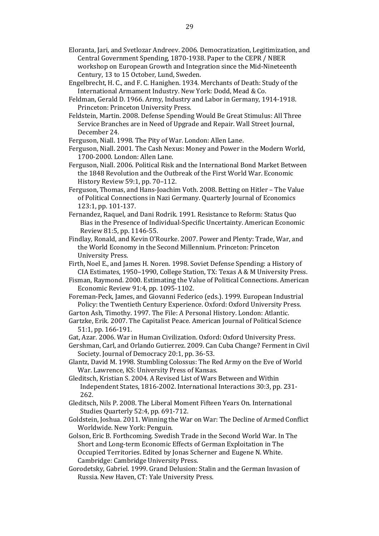- Eloranta, Jari, and Svetlozar Andreev. 2006. Democratization, Legitimization, and Central Government Spending, 1870-1938. Paper to the CEPR / NBER workshop on European Growth and Integration since the Mid-Nineteenth Century, 13 to 15 October, Lund, Sweden.
- Engelbrecht, H. C., and F. C. Hanighen. 1934. Merchants of Death: Study of the International Armament Industry. New York: Dodd, Mead & Co.
- Feldman, Gerald D. 1966. Army, Industry and Labor in Germany, 1914-1918. Princeton: Princeton University Press.
- Feldstein, Martin. 2008. Defense Spending Would Be Great Stimulus: All Three Service Branches are in Need of Upgrade and Repair. Wall Street Journal, December 24.
- Ferguson, Niall. 1998. The Pity of War. London: Allen Lane.
- Ferguson, Niall. 2001. The Cash Nexus: Money and Power in the Modern World, 1700-2000. London: Allen Lane.
- Ferguson, Niall. 2006. Political Risk and the International Bond Market Between the 1848 Revolution and the Outbreak of the First World War. Economic History Review 59:1, pp. 70–112.
- Ferguson, Thomas, and Hans-Joachim Voth. 2008. Betting on Hitler The Value of Political Connections in Nazi Germany. Quarterly Journal of Economics 123:1, pp. 101-137.
- Fernandez, Raquel, and Dani Rodrik. 1991. Resistance to Reform: Status Quo Bias in the Presence of Individual-Specific Uncertainty. American Economic Review 81:5, pp. 1146-55.
- Findlay, Ronald, and Kevin O'Rourke. 2007. Power and Plenty: Trade, War, and the World Economy in the Second Millennium. Princeton: Princeton University Press.
- Firth, Noel E., and James H. Noren. 1998. Soviet Defense Spending: a History of CIA Estimates, 1950–1990, College Station, TX: Texas A & M University Press.
- Fisman, Raymond. 2000. Estimating the Value of Political Connections. American Economic Review 91:4, pp. 1095-1102.
- Foreman-Peck, James, and Giovanni Federico (eds.). 1999. European Industrial Policy: the Twentieth Century Experience. Oxford: Oxford University Press.

Garton Ash, Timothy. 1997. The File: A Personal History. London: Atlantic.

- Gartzke, Erik. 2007. The Capitalist Peace. American Journal of Political Science 51:1, pp. 166-191.
- Gat, Azar. 2006. War in Human Civilization. Oxford: Oxford University Press.
- Gershman, Carl, and Orlando Gutierrez. 2009. Can Cuba Change? Ferment in Civil Society. Journal of Democracy 20:1, pp. 36-53.
- Glantz, David M. 1998. Stumbling Colossus: The Red Army on the Eve of World War. Lawrence, KS: University Press of Kansas.
- Gleditsch, Kristian S. 2004. A Revised List of Wars Between and Within Independent States, 1816-2002. International Interactions 30:3, pp. 231- 262.
- Gleditsch, Nils P. 2008. The Liberal Moment Fifteen Years On. International Studies Quarterly 52:4, pp. 691-712.
- Goldstein, Joshua. 2011. Winning the War on War: The Decline of Armed Conflict Worldwide. New York: Penguin.
- Golson, Eric B. Forthcoming. Swedish Trade in the Second World War. In The Short and Long-term Economic Effects of German Exploitation in The Occupied Territories. Edited by Jonas Scherner and Eugene N. White. Cambridge: Cambridge University Press.
- Gorodetsky, Gabriel. 1999. Grand Delusion: Stalin and the German Invasion of Russia. New Haven, CT: Yale University Press.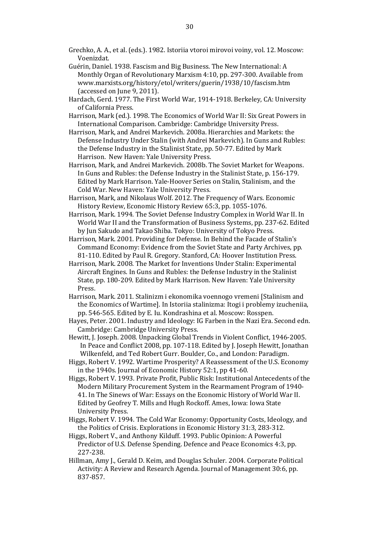- Grechko, A. A., et al. (eds.). 1982. Istoriia vtoroi mirovoi voiny, vol. 12. Moscow: Voenizdat.
- Guérin, Daniel. 1938. Fascism and Big Business. The New International: A Monthly Organ of Revolutionary Marxism 4:10, pp. 297-300. Available from www.marxists.org/history/etol/writers/guerin/1938/10/fascism.htm (accessed on June 9, 2011).
- Hardach, Gerd. 1977. The First World War, 1914-1918. Berkeley, CA: University of California Press.
- Harrison, Mark (ed.). 1998. The Economics of World War II: Six Great Powers in International Comparison. Cambridge: Cambridge University Press.
- Harrison, Mark, and Andrei Markevich. 2008a. Hierarchies and Markets: the Defense Industry Under Stalin (with Andrei Markevich). In Guns and Rubles: the Defense Industry in the Stalinist State, pp. 50-77. Edited by Mark Harrison. New Haven: Yale University Press.
- Harrison, Mark, and Andrei Markevich. 2008b. The Soviet Market for Weapons. In Guns and Rubles: the Defense Industry in the Stalinist State, p. 156-179. Edited by Mark Harrison. Yale-Hoover Series on Stalin, Stalinism, and the Cold War. New Haven: Yale University Press.
- Harrison, Mark, and Nikolaus Wolf. 2012. The Frequency of Wars. Economic History Review, Economic History Review 65:3, pp. 1055-1076.
- Harrison, Mark. 1994. The Soviet Defense Industry Complex in World War II. In World War II and the Transformation of Business Systems, pp. 237-62. Edited by Jun Sakudo and Takao Shiba. Tokyo: University of Tokyo Press.
- Harrison, Mark. 2001. Providing for Defense. In Behind the Facade of Stalin's Command Economy: Evidence from the Soviet State and Party Archives, pp. 81-110. Edited by Paul R. Gregory. Stanford, CA: Hoover Institution Press.
- Harrison, Mark. 2008. The Market for Inventions Under Stalin: Experimental Aircraft Engines. In Guns and Rubles: the Defense Industry in the Stalinist State, pp. 180-209. Edited by Mark Harrison. New Haven: Yale University Press.
- Harrison, Mark. 2011. Stalinizm i ekonomika voennogo vremeni [Stalinism and the Economics of Wartime]. In Istoriia stalinizma: Itogi i problemy izucheniia, pp. 546-565. Edited by E. Iu. Kondrashina et al. Moscow: Rosspen.
- Hayes, Peter. 2001. Industry and Ideology: IG Farben in the Nazi Era. Second edn. Cambridge: Cambridge University Press.
- Hewitt, J. Joseph. 2008. Unpacking Global Trends in Violent Conflict, 1946-2005. In Peace and Conflict 2008, pp. 107-118. Edited by J. Joseph Hewitt, Jonathan Wilkenfeld, and Ted Robert Gurr. Boulder, Co., and London: Paradigm.
- Higgs, Robert V. 1992. Wartime Prosperity? A Reassessment of the U.S. Economy in the 1940s. Journal of Economic History 52:1, pp 41-60.
- Higgs, Robert V. 1993. Private Profit, Public Risk: Institutional Antecedents of the Modern Military Procurement System in the Rearmament Program of 1940- 41. In The Sinews of War: Essays on the Economic History of World War II. Edited by Geofrey T. Mills and Hugh Rockoff. Ames, Iowa: Iowa State University Press.
- Higgs, Robert V. 1994. The Cold War Economy: Opportunity Costs, Ideology, and the Politics of Crisis. Explorations in Economic History 31:3, 283-312.
- Higgs, Robert V., and Anthony Kilduff. 1993. Public Opinion: A Powerful Predictor of U.S. Defense Spending. Defence and Peace Economics 4:3, pp. 227-238.
- Hillman, Amy J., Gerald D. Keim, and Douglas Schuler. 2004. Corporate Political Activity: A Review and Research Agenda. Journal of Management 30:6, pp. 837-857.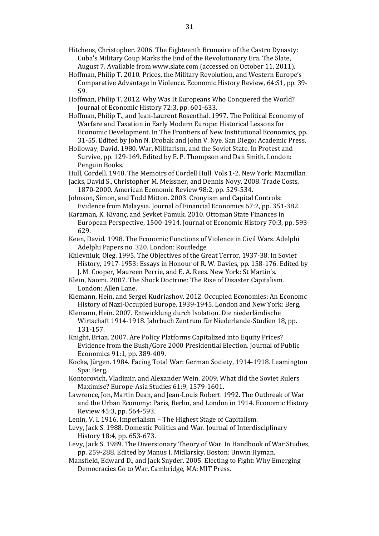- Hitchens, Christopher. 2006. The Eighteenth Brumaire of the Castro Dynasty: Cuba's Military Coup Marks the End of the Revolutionary Era. The Slate, August 7. Available from www.slate.com (accessed on October 11, 2011).
- Hoffman, Philip T. 2010. Prices, the Military Revolution, and Western Europe's Comparative Advantage in Violence. Economic History Review, 64:S1, pp. 39- 59.
- Hoffman, Philip T. 2012. Why Was It Europeans Who Conquered the World? Journal of Economic History 72:3, pp. 601-633.
- Hoffman, Philip T., and Jean-Laurent Rosenthal. 1997. The Political Economy of Warfare and Taxation in Early Modern Europe: Historical Lessons for Economic Development. In The Frontiers of New Institutional Economics, pp. 31-55. Edited by John N. Drobak and John V. Nye. San Diego: Academic Press.
- Holloway, David. 1980. War, Militarism, and the Soviet State. In Protest and Survive, pp. 129-169. Edited by E. P. Thompson and Dan Smith. London: Penguin Books.
- Hull, Cordell. 1948. The Memoirs of Cordell Hull. Vols 1-2. New York: Macmillan.
- Jacks, David S., Christopher M. Meissner, and Dennis Novy. 2008. Trade Costs, 1870-2000. American Economic Review 98:2, pp. 529-534.
- Johnson, Simon, and Todd Mitton. 2003. Cronyism and Capital Controls: Evidence from Malaysia. Journal of Financial Economics 67:2, pp. 351-382.
- Karaman, K. Kivanç, and Şevket Pamuk. 2010. Ottoman State Finances in European Perspective, 1500-1914. Journal of Economic History 70:3, pp. 593- 629.
- Keen, David. 1998. The Economic Functions of Violence in Civil Wars. Adelphi Adelphi Papers no. 320. London: Routledge.
- Khlevniuk, Oleg. 1995. The Objectives of the Great Terror, 1937-38. In Soviet History, 1917-1953: Essays in Honour of R. W. Davies, pp. 158-176. Edited by J. M. Cooper, Maureen Perrie, and E. A. Rees. New York: St Martin's.
- Klein, Naomi. 2007. The Shock Doctrine: The Rise of Disaster Capitalism. London: Allen Lane.
- Klemann, Hein, and Sergei Kudriashov. 2012. Occupied Economies: An Economc History of Nazi-Occupied Europe, 1939-1945. London and New York: Berg.
- Klemann, Hein. 2007. Entwicklung durch Isolation. Die niederländische Wirtschaft 1914-1918. Jahrbuch Zentrum für Niederlande-Studien 18, pp. 131-157.
- Knight, Brian. 2007. Are Policy Platforms Capitalized into Equity Prices? Evidence from the Bush/Gore 2000 Presidential Election. Journal of Public Economics 91:1, pp. 389-409.
- Kocka, Jürgen. 1984. Facing Total War: German Society, 1914-1918. Leamington Spa: Berg.
- Kontorovich, Vladimir, and Alexander Wein. 2009. What did the Soviet Rulers Maximise? Europe-Asia Studies 61:9, 1579-1601.
- Lawrence, Jon, Martin Dean, and Jean-Louis Robert. 1992. The Outbreak of War and the Urban Economy: Paris, Berlin, and London in 1914. Economic History Review 45:3, pp. 564-593.
- Lenin, V. I. 1916. Imperialism The Highest Stage of Capitalism.
- Levy, Jack S. 1988. Domestic Politics and War. Journal of Interdisciplinary History 18:4, pp. 653-673.
- Levy, Jack S. 1989. The Diversionary Theory of War. In Handbook of War Studies, pp. 259-288. Edited by Manus I. Midlarsky. Boston: Unwin Hyman.
- Mansfield, Edward D., and Jack Snyder. 2005. Electing to Fight: Why Emerging Democracies Go to War. Cambridge, MA: MIT Press.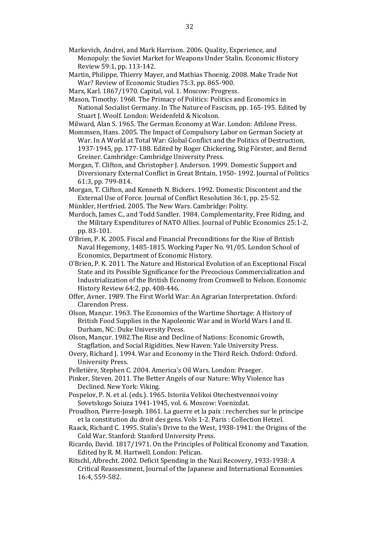- Markevich, Andrei, and Mark Harrison. 2006. Quality, Experience, and Monopoly: the Soviet Market for Weapons Under Stalin. Economic History Review 59:1, pp. 113-142.
- Martin, Philippe, Thierry Mayer, and Mathias Thoenig. 2008. Make Trade Not War? Review of Economic Studies 75:3, pp. 865-900.
- Marx, Karl. 1867/1970. Capital, vol. 1. Moscow: Progress.
- Mason, Timothy. 1968. The Primacy of Politics: Politics and Economics in National Socialist Germany. In The Nature of Fascism, pp. 165-195. Edited by Stuart J. Woolf. London: Weidenfeld & Nicolson.
- Milward, Alan S. 1965. The German Economy at War. London: Athlone Press.
- Mommsen, Hans. 2005. The Impact of Compulsory Labor on German Society at War. In A World at Total War: Global Conflict and the Politics of Destruction, 1937-1945, pp. 177-188. Edited by Roger Chickering, Stig Förster, and Bernd Greiner. Cambridge: Cambridge University Press.
- Morgan, T. Clifton, and Christopher J. Anderson. 1999. Domestic Support and Diversionary External Conflict in Great Britain, 1950- 1992. Journal of Politics 61:3, pp. 799-814.
- Morgan, T. Clifton, and Kenneth N. Bickers. 1992. Domestic Discontent and the External Use of Force. Journal of Conflict Resolution 36:1, pp. 25-52.
- Münkler, Hertfried. 2005. The New Wars. Cambridge: Polity.
- Murdoch, James C., and Todd Sandler. 1984. Complementarity, Free Riding, and the Military Expenditures of NATO Allies. Journal of Public Economics 25:1-2, pp. 83-101.
- O'Brien, P. K. 2005. Fiscal and Financial Preconditions for the Rise of British Naval Hegemony, 1485-1815. Working Paper No. 91/05. London School of Economics, Department of Economic History.
- O'Brien, P. K. 2011. The Nature and Historical Evolution of an Exceptional Fiscal State and its Possible Significance for the Precocious Commercialization and Industrialization of the British Economy from Cromwell to Nelson. Economic History Review 64:2, pp. 408-446.
- Offer, Avner. 1989. The First World War: An Agrarian Interpretation. Oxford: Clarendon Press.
- Olson, Mançur. 1963. The Economics of the Wartime Shortage: A History of British Food Supplies in the Napoleonic War and in World Wars I and II. Durham, NC: Duke University Press.
- Olson, Mançur. 1982.The Rise and Decline of Nations: Economic Growth, Stagflation, and Social Rigidities. New Haven: Yale University Press.
- Overy, Richard J. 1994. War and Economy in the Third Reich. Oxford: Oxford. University Press.
- Pelletière, Stephen C. 2004. America's Oil Wars. London: Praeger.
- Pinker, Steven. 2011. The Better Angels of our Nature: Why Violence has Declined. New York: Viking.
- Pospelov, P. N. et al. (eds.). 1965. Istoriia Velikoi Otechestvennoi voiny Sovetskogo Soiuza 1941-1945, vol. 6. Moscow: Voenizdat.
- Proudhon, Pierre-Joseph. 1861. La guerre et la paix : recherches sur le principe et la constitution du droit des gens. Vols 1-2. Paris : Collection Hetzel.
- Raack, Richard C. 1995. Stalin's Drive to the West, 1938-1941: the Origins of the Cold War. Stanford: Stanford University Press.
- Ricardo, David. 1817/1971. On the Principles of Political Economy and Taxation. Edited by R. M. Hartwell. London: Pelican.
- Ritschl, Albrecht. 2002. Deficit Spending in the Nazi Recovery, 1933-1938: A Critical Reassessment, Journal of the Japanese and International Economies 16:4, 559-582.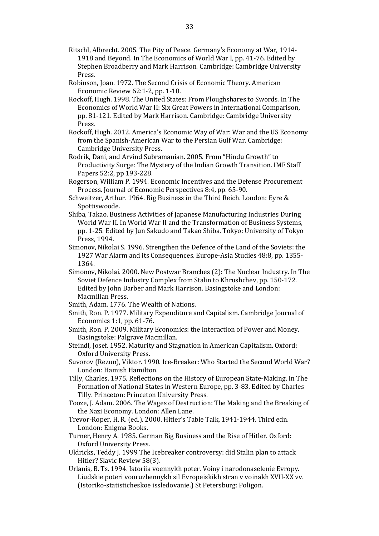- Ritschl, Albrecht. 2005. The Pity of Peace. Germany's Economy at War, 1914- 1918 and Beyond. In The Economics of World War I, pp. 41-76. Edited by Stephen Broadberry and Mark Harrison. Cambridge: Cambridge University Press.
- Robinson, Joan. 1972. The Second Crisis of Economic Theory. American Economic Review 62:1-2, pp. 1-10.
- Rockoff, Hugh. 1998. The United States: From Ploughshares to Swords. In The Economics of World War II: Six Great Powers in International Comparison, pp. 81-121. Edited by Mark Harrison. Cambridge: Cambridge University Press.
- Rockoff, Hugh. 2012. America's Economic Way of War: War and the US Economy from the Spanish-American War to the Persian Gulf War. Cambridge: Cambridge University Press.
- Rodrik, Dani, and Arvind Subramanian. 2005. From "Hindu Growth" to Productivity Surge: The Mystery of the Indian Growth Transition. IMF Staff Papers 52:2, pp 193-228.
- Rogerson, William P. 1994. Economic Incentives and the Defense Procurement Process. Journal of Economic Perspectives 8:4, pp. 65-90.
- Schweitzer, Arthur. 1964. Big Business in the Third Reich. London: Eyre & Spottiswoode.
- Shiba, Takao. Business Activities of Japanese Manufacturing Industries During World War II. In World War II and the Transformation of Business Systems, pp. 1-25. Edited by Jun Sakudo and Takao Shiba. Tokyo: University of Tokyo Press, 1994.
- Simonov, Nikolai S. 1996. Strengthen the Defence of the Land of the Soviets: the 1927 War Alarm and its Consequences. Europe-Asia Studies 48:8, pp. 1355- 1364.
- Simonov, Nikolai. 2000. New Postwar Branches (2): The Nuclear Industry. In The Soviet Defence Industry Complex from Stalin to Khrushchev, pp. 150-172. Edited by John Barber and Mark Harrison. Basingstoke and London: Macmillan Press.
- Smith, Adam. 1776. The Wealth of Nations.
- Smith, Ron. P. 1977. Military Expenditure and Capitalism. Cambridge Journal of Economics 1:1, pp. 61-76.
- Smith, Ron. P. 2009. Military Economics: the Interaction of Power and Money. Basingstoke: Palgrave Macmillan.
- Steindl, Josef. 1952. Maturity and Stagnation in American Capitalism. Oxford: Oxford University Press.
- Suvorov (Rezun), Viktor. 1990. Ice-Breaker: Who Started the Second World War? London: Hamish Hamilton.
- Tilly, Charles. 1975. Reflections on the History of European State-Making. In The Formation of National States in Western Europe, pp. 3-83. Edited by Charles Tilly. Princeton: Princeton University Press.
- Tooze, J. Adam. 2006. The Wages of Destruction: The Making and the Breaking of the Nazi Economy. London: Allen Lane.
- Trevor-Roper, H. R. (ed.). 2000. Hitler's Table Talk, 1941-1944. Third edn. London: Enigma Books.
- Turner, Henry A. 1985. German Big Business and the Rise of Hitler. Oxford: Oxford University Press.
- Uldricks, Teddy J. 1999 The Icebreaker controversy: did Stalin plan to attack Hitler? Slavic Review 58(3).
- Urlanis, B. Ts. 1994. Istoriia voennykh poter. Voiny i narodonaselenie Evropy. Liudskie poteri vooruzhennykh sil Evropeiskikh stran v voinakh XVII-XX vv. (Istoriko-statisticheskoe issledovanie.) St Petersburg: Poligon.